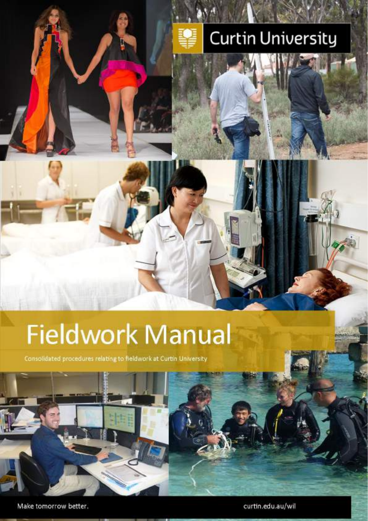# **Curtin University**

# **Fieldwork Manual**

Consolidated procedures relating to fieldwork at Curtin University



Make tomorrow better.

curtin.edu.au/wil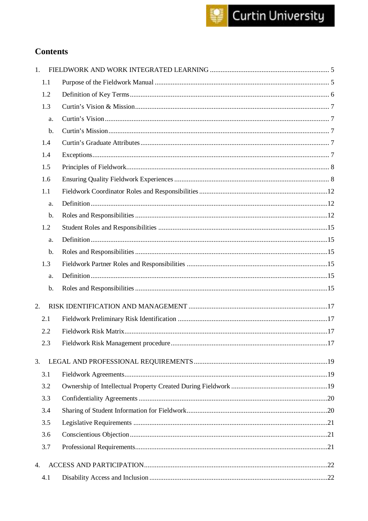## **Contents**

| 1.    |  |
|-------|--|
| 1.1   |  |
| 1.2   |  |
| 1.3   |  |
| a.    |  |
| b.    |  |
| 1.4   |  |
| 1.4   |  |
| 1.5   |  |
| 1.6   |  |
| 1.1   |  |
| a.    |  |
| b.    |  |
| 1.2   |  |
| a.    |  |
| $b$ . |  |
| 1.3   |  |
| a.    |  |
| b.    |  |
| 2.    |  |
| 2.1   |  |
| 2.2   |  |
| 2.3   |  |
| 3.    |  |
| 3.1   |  |
| 3.2   |  |
| 3.3   |  |
| 3.4   |  |
| 3.5   |  |
| 3.6   |  |
| 3.7   |  |
| 4.    |  |
| 4.1   |  |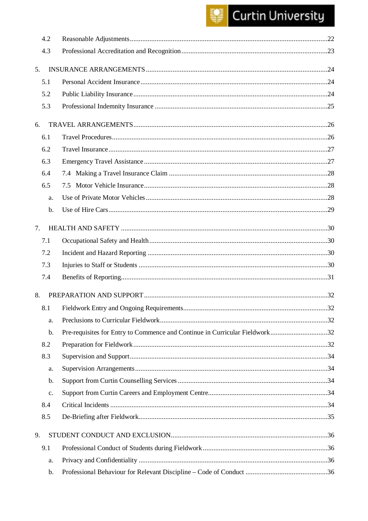## Curtin University

|    | 4.2            |                                                                             |     |
|----|----------------|-----------------------------------------------------------------------------|-----|
|    | 4.3            |                                                                             |     |
| 5. |                |                                                                             |     |
|    | 5.1            |                                                                             |     |
|    | 5.2            |                                                                             |     |
|    | 5.3            |                                                                             |     |
|    |                |                                                                             |     |
| 6. |                |                                                                             |     |
|    | 6.1            |                                                                             |     |
|    | 6.2            |                                                                             |     |
|    | 6.3            |                                                                             |     |
|    | 6.4            |                                                                             |     |
|    | 6.5            |                                                                             |     |
|    | a.             |                                                                             |     |
|    | $b$ .          |                                                                             |     |
| 7. |                |                                                                             |     |
|    | 7.1            |                                                                             |     |
|    | 7.2            |                                                                             |     |
|    | 7.3            |                                                                             |     |
|    | 7.4            |                                                                             |     |
| 8. |                |                                                                             |     |
|    |                |                                                                             |     |
|    | 8.1            |                                                                             | .32 |
|    | a.             |                                                                             |     |
|    | b.             | Pre-requisites for Entry to Commence and Continue in Curricular Fieldwork32 |     |
|    | 8.2            |                                                                             |     |
|    | 8.3            |                                                                             |     |
|    | a.             |                                                                             |     |
|    | b.             |                                                                             |     |
|    | $\mathbf{C}$ . |                                                                             |     |
|    | 8.4            |                                                                             |     |
|    | 8.5            |                                                                             |     |
| 9. |                |                                                                             |     |
|    | 9.1            |                                                                             |     |
|    | a.             |                                                                             |     |
|    | b.             |                                                                             |     |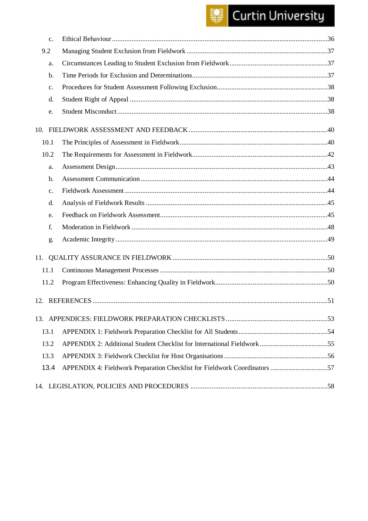## Curtin University

| c.   |                                                                           |
|------|---------------------------------------------------------------------------|
| 9.2  |                                                                           |
| a.   |                                                                           |
| b.   |                                                                           |
| c.   |                                                                           |
| d.   |                                                                           |
| e.   |                                                                           |
|      |                                                                           |
| 10.1 |                                                                           |
| 10.2 |                                                                           |
| a.   |                                                                           |
| b.   |                                                                           |
| c.   |                                                                           |
| d.   |                                                                           |
| e.   |                                                                           |
| f.   |                                                                           |
| g.   |                                                                           |
|      |                                                                           |
| 11.1 |                                                                           |
| 11.2 |                                                                           |
|      |                                                                           |
|      |                                                                           |
| 13.1 |                                                                           |
| 13.2 |                                                                           |
| 13.3 |                                                                           |
| 13.4 | APPENDIX 4: Fieldwork Preparation Checklist for Fieldwork Coordinators 57 |
|      |                                                                           |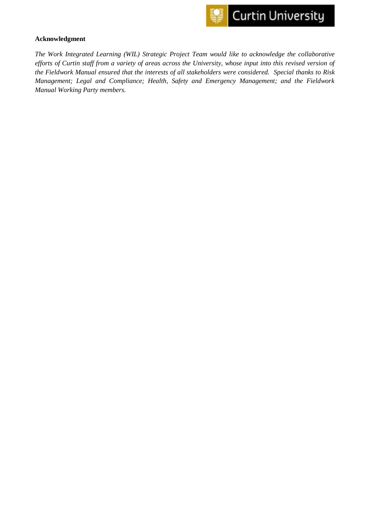

#### **Acknowledgment**

*The Work Integrated Learning (WIL) Strategic Project Team would like to acknowledge the collaborative efforts of Curtin staff from a variety of areas across the University, whose input into this revised version of the Fieldwork Manual ensured that the interests of all stakeholders were considered. Special thanks to Risk Management; Legal and Compliance; Health, Safety and Emergency Management; and the Fieldwork Manual Working Party members.*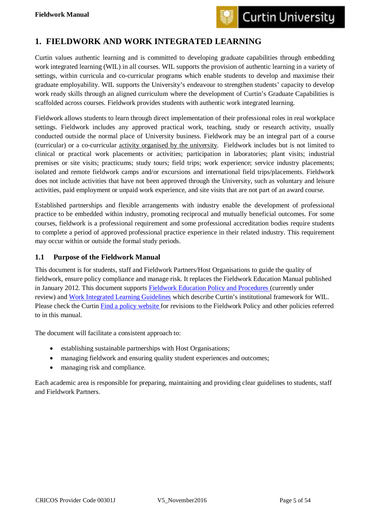

## <span id="page-5-0"></span>**1. FIELDWORK AND WORK INTEGRATED LEARNING**

Curtin values authentic learning and is committed to developing graduate capabilities through embedding work integrated learning (WIL) in all courses. WIL supports the provision of authentic learning in a variety of settings, within curricula and co-curricular programs which enable students to develop and maximise their graduate employability. WIL supports the University's endeavour to strengthen students' capacity to develop work ready skills through an aligned curriculum where the development of Curtin's Graduate Capabilities is scaffolded across courses. Fieldwork provides students with authentic work integrated learning.

Fieldwork allows students to learn through direct implementation of their professional roles in real workplace settings. Fieldwork includes any approved practical work, teaching, study or research activity, usually conducted outside the normal place of University business. Fieldwork may be an integral part of a course (curricular) or a co-curricular activity organised by the university. Fieldwork includes but is not limited to clinical or practical work placements or activities; participation in laboratories; plant visits; industrial premises or site visits; practicums; study tours; field trips; work experience; service industry placements; isolated and remote fieldwork camps and/or excursions and international field trips/placements. Fieldwork does not include activities that have not been approved through the University, such as voluntary and leisure activities, paid employment or unpaid work experience, and site visits that are not part of an award course.

Established partnerships and flexible arrangements with industry enable the development of professional practice to be embedded within industry, promoting reciprocal and mutually beneficial outcomes. For some courses, fieldwork is a professional requirement and some professional accreditation bodies require students to complete a period of approved professional practice experience in their related industry. This requirement may occur within or outside the formal study periods.

#### <span id="page-5-1"></span>**1.1 Purpose of the Fieldwork Manual**

This document is for students, staff and Fieldwork Partners/Host Organisations to guide the quality of fieldwork, ensure policy compliance and manage risk. It replaces the Fieldwork Education Manual published in January 2012. This document supports [Fieldwork Education Policy and Procedures](http://policies.curtin.edu.au/findapolicy/) (currently under review) and [Work Integrated Learning Guidelines](https://ctl.curtin.edu.au/wil/local/docs/secure_docs/wil_guidelines.pdf) which describe Curtin's institutional framework for WIL. Please check the Curtin [Find a policy website f](http://policies.curtin.edu.au/findapolicy/)or revisions to the Fieldwork Policy and other policies referred to in this manual.

The document will facilitate a consistent approach to:

- establishing sustainable partnerships with Host Organisations;
- managing fieldwork and ensuring quality student experiences and outcomes;
- managing risk and compliance.

Each academic area is responsible for preparing, maintaining and providing clear guidelines to students, staff and Fieldwork Partners.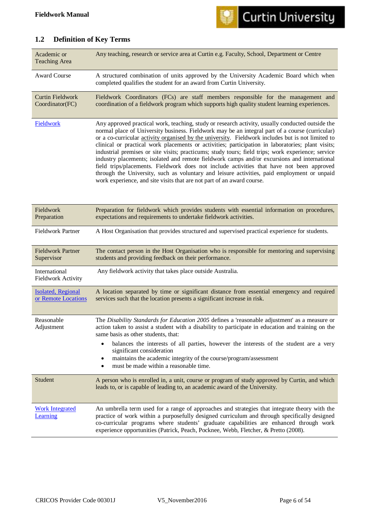

## <span id="page-6-0"></span>**1.2 Definition of Key Terms**

| Academic or<br><b>Teaching Area</b>              | Any teaching, research or service area at Curtin e.g. Faculty, School, Department or Centre                                                                                                                                                                                                                                                                                                                                                                                                                                                                                                                                                                                                                                                                                                                                                                                               |
|--------------------------------------------------|-------------------------------------------------------------------------------------------------------------------------------------------------------------------------------------------------------------------------------------------------------------------------------------------------------------------------------------------------------------------------------------------------------------------------------------------------------------------------------------------------------------------------------------------------------------------------------------------------------------------------------------------------------------------------------------------------------------------------------------------------------------------------------------------------------------------------------------------------------------------------------------------|
| <b>Award Course</b>                              | A structured combination of units approved by the University Academic Board which when<br>completed qualifies the student for an award from Curtin University.                                                                                                                                                                                                                                                                                                                                                                                                                                                                                                                                                                                                                                                                                                                            |
| <b>Curtin Fieldwork</b><br>Coordinator(FC)       | Fieldwork Coordinators (FCs) are staff members responsible for the management and<br>coordination of a fieldwork program which supports high quality student learning experiences.                                                                                                                                                                                                                                                                                                                                                                                                                                                                                                                                                                                                                                                                                                        |
| Fieldwork                                        | Any approved practical work, teaching, study or research activity, usually conducted outside the<br>normal place of University business. Fieldwork may be an integral part of a course (curricular)<br>or a co-curricular activity organised by the university. Fieldwork includes but is not limited to<br>clinical or practical work placements or activities; participation in laboratories; plant visits;<br>industrial premises or site visits; practicums; study tours; field trips; work experience; service<br>industry placements; isolated and remote fieldwork camps and/or excursions and international<br>field trips/placements. Fieldwork does not include activities that have not been approved<br>through the University, such as voluntary and leisure activities, paid employment or unpaid<br>work experience, and site visits that are not part of an award course. |
| Fieldwork<br>Preparation                         | Preparation for fieldwork which provides students with essential information on procedures,<br>expectations and requirements to undertake fieldwork activities.                                                                                                                                                                                                                                                                                                                                                                                                                                                                                                                                                                                                                                                                                                                           |
| <b>Fieldwork Partner</b>                         | A Host Organisation that provides structured and supervised practical experience for students.                                                                                                                                                                                                                                                                                                                                                                                                                                                                                                                                                                                                                                                                                                                                                                                            |
| <b>Fieldwork Partner</b><br>Supervisor           | The contact person in the Host Organisation who is responsible for mentoring and supervising<br>students and providing feedback on their performance.                                                                                                                                                                                                                                                                                                                                                                                                                                                                                                                                                                                                                                                                                                                                     |
| International<br><b>Fieldwork Activity</b>       | Any fieldwork activity that takes place outside Australia.                                                                                                                                                                                                                                                                                                                                                                                                                                                                                                                                                                                                                                                                                                                                                                                                                                |
| <b>Isolated, Regional</b><br>or Remote Locations | A location separated by time or significant distance from essential emergency and required<br>services such that the location presents a significant increase in risk.                                                                                                                                                                                                                                                                                                                                                                                                                                                                                                                                                                                                                                                                                                                    |
| Reasonable<br>Adjustment                         | The Disability Standards for Education 2005 defines a 'reasonable adjustment' as a measure or<br>action taken to assist a student with a disability to participate in education and training on the<br>same basis as other students, that:<br>balances the interests of all parties, however the interests of the student are a very<br>٠<br>significant consideration<br>maintains the academic integrity of the course/program/assessment<br>٠<br>must be made within a reasonable time.                                                                                                                                                                                                                                                                                                                                                                                                |
| Student                                          | A person who is enrolled in, a unit, course or program of study approved by Curtin, and which<br>leads to, or is capable of leading to, an academic award of the University.                                                                                                                                                                                                                                                                                                                                                                                                                                                                                                                                                                                                                                                                                                              |
| <b>Work Integrated</b><br>Learning               | An umbrella term used for a range of approaches and strategies that integrate theory with the<br>practice of work within a purposefully designed curriculum and through specifically designed<br>co-curricular programs where students' graduate capabilities are enhanced through work<br>experience opportunities (Patrick, Peach, Pocknee, Webb, Fletcher, & Pretto (2008).                                                                                                                                                                                                                                                                                                                                                                                                                                                                                                            |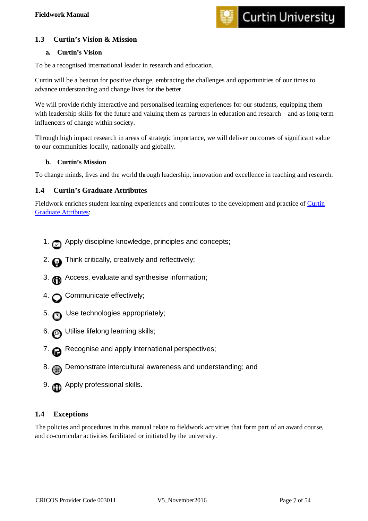

#### <span id="page-7-0"></span>**1.3 Curtin's Vision & Mission**

#### <span id="page-7-1"></span>**a. Curtin's Vision**

To be a recognised international leader in research and education.

Curtin will be a beacon for positive change, embracing the challenges and opportunities of our times to advance understanding and change lives for the better.

We will provide richly interactive and personalised learning experiences for our students, equipping them with leadership skills for the future and valuing them as partners in education and research – and as long-term influencers of change within society.

Through high impact research in areas of strategic importance, we will deliver outcomes of significant value to our communities locally, nationally and globally.

#### <span id="page-7-2"></span>**b. Curtin's Mission**

To change minds, lives and the world through leadership, innovation and excellence in teaching and research.

#### <span id="page-7-3"></span>**1.4 Curtin's Graduate Attributes**

Fieldwork enriches student learning experiences and contributes to the development and practice of [Curtin](http://ctl.curtin.edu.au/teaching_learning_practice/graduate_capabilities.cfm)  **[Graduate Attributes:](http://ctl.curtin.edu.au/teaching_learning_practice/graduate_capabilities.cfm)** 

- 1. **Apply discipline knowledge, principles and concepts;**
- 2. **Think critically, creatively and reflectively;**
- 3. **a** Access, evaluate and synthesise information;
- 4. Communicate effectively;
- 5. Use technologies appropriately;
- 6.  $\odot$  Utilise lifelong learning skills;
- 7. **a** Recognise and apply international perspectives;
- 8. Demonstrate intercultural awareness and understanding; and
- 9. **Com** Apply professional skills.

#### <span id="page-7-4"></span>**1.4 Exceptions**

The policies and procedures in this manual relate to fieldwork activities that form part of an award course, and co-curricular activities facilitated or initiated by the university.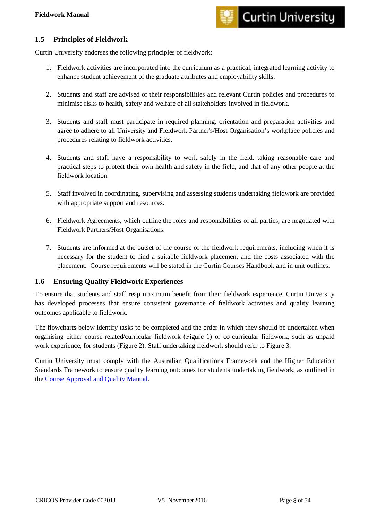

#### <span id="page-8-0"></span>**1.5 Principles of Fieldwork**

Curtin University endorses the following principles of fieldwork:

- 1. Fieldwork activities are incorporated into the curriculum as a practical, integrated learning activity to enhance student achievement of the graduate attributes and employability skills.
- 2. Students and staff are advised of their responsibilities and relevant Curtin policies and procedures to minimise risks to health, safety and welfare of all stakeholders involved in fieldwork.
- 3. Students and staff must participate in required planning, orientation and preparation activities and agree to adhere to all University and Fieldwork Partner's/Host Organisation's workplace policies and procedures relating to fieldwork activities.
- 4. Students and staff have a responsibility to work safely in the field, taking reasonable care and practical steps to protect their own health and safety in the field, and that of any other people at the fieldwork location.
- 5. Staff involved in coordinating, supervising and assessing students undertaking fieldwork are provided with appropriate support and resources.
- 6. Fieldwork Agreements, which outline the roles and responsibilities of all parties, are negotiated with Fieldwork Partners/Host Organisations.
- 7. Students are informed at the outset of the course of the fieldwork requirements, including when it is necessary for the student to find a suitable fieldwork placement and the costs associated with the placement. Course requirements will be stated in the Curtin Courses Handbook and in unit outlines.

#### <span id="page-8-1"></span>**1.6 Ensuring Quality Fieldwork Experiences**

To ensure that students and staff reap maximum benefit from their fieldwork experience, Curtin University has developed processes that ensure consistent governance of fieldwork activities and quality learning outcomes applicable to fieldwork.

The flowcharts below identify tasks to be completed and the order in which they should be undertaken when organising either course-related/curricular fieldwork (Figure 1) or co-curricular fieldwork, such as unpaid work experience, for students (Figure 2). Staff undertaking fieldwork should refer to Figure 3.

Curtin University must comply with the Australian Qualifications Framework and the Higher Education Standards Framework to ensure quality learning outcomes for students undertaking fieldwork, as outlined in the [Course Approval and Quality Manual.](http://policies.curtin.edu.au/findapolicy/docs/Course_Approval_and_Quality_Manual.pdf)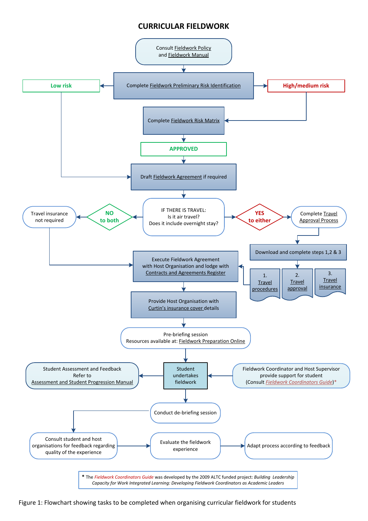#### **CURRICULAR FIELDWORK**



Figure 1: Flowchart showing tasks to be completed when organising curricular fieldwork for students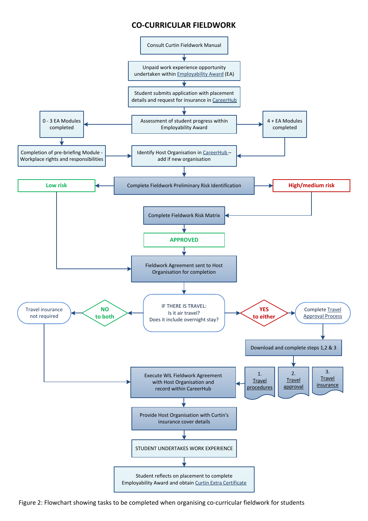#### **CO-CURRICULAR FIELDWORK**



Figure 2: Flowchart showing tasks to be completed when organising co-curricular fieldwork for students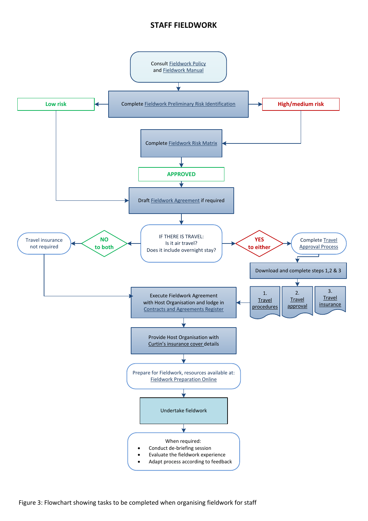#### **STAFF FIELDWORK**

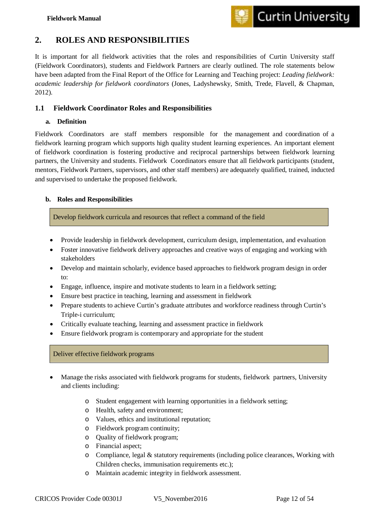

## **2. ROLES AND RESPONSIBILITIES**

It is important for all fieldwork activities that the roles and responsibilities of Curtin University staff (Fieldwork Coordinators), students and Fieldwork Partners are clearly outlined. The role statements below have been adapted from the Final Report of the Office for Learning and Teaching project: *Leading fieldwork: academic leadership for fieldwork coordinators* (Jones, Ladyshewsky, Smith, Trede, Flavell, & Chapman, 2012).

#### <span id="page-12-0"></span>**1.1 Fieldwork Coordinator Roles and Responsibilities**

#### <span id="page-12-1"></span>**a. Definition**

Fieldwork Coordinators are staff members responsible for the management and coordination of a fieldwork learning program which supports high quality student learning experiences. An important element of fieldwork coordination is fostering productive and reciprocal partnerships between fieldwork learning partners, the University and students. Fieldwork Coordinators ensure that all fieldwork participants (student, mentors, Fieldwork Partners, supervisors, and other staff members) are adequately qualified, trained, inducted and supervised to undertake the proposed fieldwork.

#### <span id="page-12-2"></span>**b. Roles and Responsibilities**

Develop fieldwork curricula and resources that reflect a command of the field

- Provide leadership in fieldwork development, curriculum design, implementation, and evaluation
- Foster innovative fieldwork delivery approaches and creative ways of engaging and working with stakeholders
- Develop and maintain scholarly, evidence based approaches to fieldwork program design in order to:
- Engage, influence, inspire and motivate students to learn in a fieldwork setting;
- Ensure best practice in teaching, learning and assessment in fieldwork
- Prepare students to achieve Curtin's graduate attributes and workforce readiness through Curtin's Triple-i curriculum;
- Critically evaluate teaching, learning and assessment practice in fieldwork
- Ensure fieldwork program is contemporary and appropriate for the student

#### Deliver effective fieldwork programs

- Manage the risks associated with fieldwork programs for students, fieldwork partners, University and clients including:
	- o Student engagement with learning opportunities in a fieldwork setting;
	- o Health, safety and environment;
	- o Values, ethics and institutional reputation;
	- o Fieldwork program continuity;
	- o Quality of fieldwork program;
	- o Financial aspect;
	- $\circ$  Compliance, legal & statutory requirements (including police clearances, Working with Children checks, immunisation requirements etc.);
	- o Maintain academic integrity in fieldwork assessment.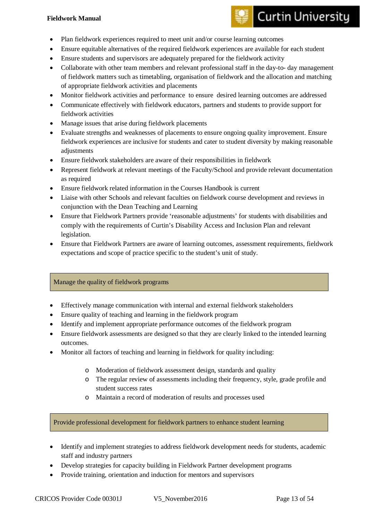#### **Fieldwork Manual**

## **Curtin University**

- Plan fieldwork experiences required to meet unit and/or course learning outcomes
- Ensure equitable alternatives of the required fieldwork experiences are available for each student
- Ensure students and supervisors are adequately prepared for the fieldwork activity
- Collaborate with other team members and relevant professional staff in the day-to- day management of fieldwork matters such as timetabling, organisation of fieldwork and the allocation and matching of appropriate fieldwork activities and placements
- Monitor fieldwork activities and performance to ensure desired learning outcomes are addressed
- Communicate effectively with fieldwork educators, partners and students to provide support for fieldwork activities
- Manage issues that arise during fieldwork placements
- Evaluate strengths and weaknesses of placements to ensure ongoing quality improvement. Ensure fieldwork experiences are inclusive for students and cater to student diversity by making reasonable adjustments
- Ensure fieldwork stakeholders are aware of their responsibilities in fieldwork
- Represent fieldwork at relevant meetings of the Faculty/School and provide relevant documentation as required
- Ensure fieldwork related information in the Courses Handbook is current
- Liaise with other Schools and relevant faculties on fieldwork course development and reviews in conjunction with the Dean Teaching and Learning
- Ensure that Fieldwork Partners provide 'reasonable adjustments' for students with disabilities and comply with the requirements of Curtin's Disability Access and Inclusion Plan and relevant legislation.
- Ensure that Fieldwork Partners are aware of learning outcomes, assessment requirements, fieldwork expectations and scope of practice specific to the student's unit of study.

#### Manage the quality of fieldwork programs

- Effectively manage communication with internal and external fieldwork stakeholders
- Ensure quality of teaching and learning in the fieldwork program
- Identify and implement appropriate performance outcomes of the fieldwork program
- Ensure fieldwork assessments are designed so that they are clearly linked to the intended learning outcomes.
- Monitor all factors of teaching and learning in fieldwork for quality including:
	- o Moderation of fieldwork assessment design, standards and quality
	- o The regular review of assessments including their frequency, style, grade profile and student success rates
	- o Maintain a record of moderation of results and processes used

Provide professional development for fieldwork partners to enhance student learning

- Identify and implement strategies to address fieldwork development needs for students, academic staff and industry partners
- Develop strategies for capacity building in Fieldwork Partner development programs
- Provide training, orientation and induction for mentors and supervisors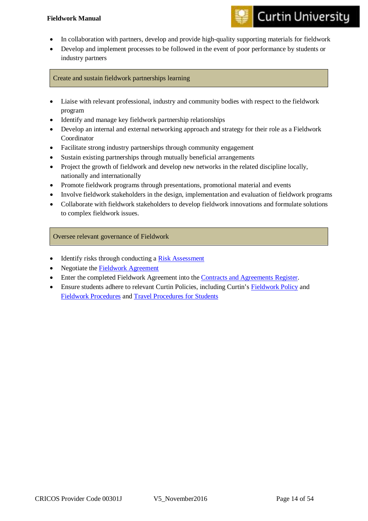#### **Fieldwork Manual**

- **Curtin University**
- In collaboration with partners, develop and provide high-quality supporting materials for fieldwork
- Develop and implement processes to be followed in the event of poor performance by students or industry partners

Create and sustain fieldwork partnerships learning

- Liaise with relevant professional, industry and community bodies with respect to the fieldwork program
- Identify and manage key fieldwork partnership relationships
- Develop an internal and external networking approach and strategy for their role as a Fieldwork Coordinator
- Facilitate strong industry partnerships through community engagement
- Sustain existing partnerships through mutually beneficial arrangements
- Project the growth of fieldwork and develop new networks in the related discipline locally, nationally and internationally
- Promote fieldwork programs through presentations, promotional material and events
- Involve fieldwork stakeholders in the design, implementation and evaluation of fieldwork programs
- Collaborate with fieldwork stakeholders to develop fieldwork innovations and formulate solutions to complex fieldwork issues.

Oversee relevant governance of Fieldwork

- Identify risks through conducting a [Risk Assessment](https://ctl.curtin.edu.au/wil/fieldwork-forms/index.cfm)
- Negotiate the [Fieldwork Agreement](https://ctl.curtin.edu.au/wil/fieldwork-forms/index.cfm)
- Enter the completed Fieldwork Agreement into the [Contracts and Agreements Register.](https://contracts.curtin.edu.au/contracts/search.cfm)
- Ensure students adhere to relevant Curtin Policies, including Curtin's [Fieldwork Policy](http://policies.curtin.edu.au/findapolicy/docs/Fieldwork_Policy.pdf) and [Fieldwork Procedures](http://policies.curtin.edu.au/findapolicy/docs/Fieldwork_Procedures.pdf) and [Travel Procedures for Students](https://policies.curtin.edu.au/findapolicy/docs/Travel_Procedures_for_Students.pdf)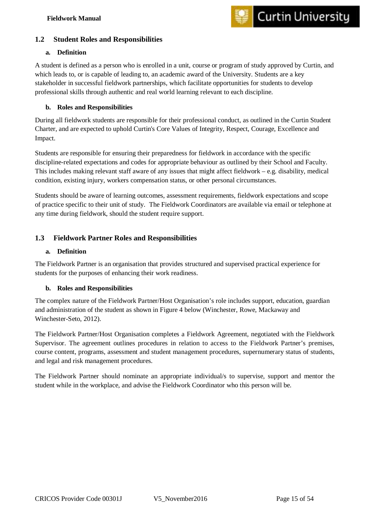#### <span id="page-15-0"></span>**1.2 Student Roles and Responsibilities**

#### <span id="page-15-1"></span>**a. Definition**

A student is defined as a person who is enrolled in a unit, course or program of study approved by Curtin, and which leads to, or is capable of leading to, an academic award of the University. Students are a key stakeholder in successful fieldwork partnerships, which facilitate opportunities for students to develop professional skills through authentic and real world learning relevant to each discipline.

#### <span id="page-15-2"></span>**b. Roles and Responsibilities**

During all fieldwork students are responsible for their professional conduct, as outlined in the Curtin Student Charter, and are expected to uphold Curtin's Core Values of Integrity, Respect, Courage, Excellence and Impact.

Students are responsible for ensuring their preparedness for fieldwork in accordance with the specific discipline-related expectations and codes for appropriate behaviour as outlined by their School and Faculty. This includes making relevant staff aware of any issues that might affect fieldwork – e.g. disability, medical condition, existing injury, workers compensation status, or other personal circumstances.

Students should be aware of learning outcomes, assessment requirements, fieldwork expectations and scope of practice specific to their unit of study. The Fieldwork Coordinators are available via email or telephone at any time during fieldwork, should the student require support.

#### <span id="page-15-3"></span>**1.3 Fieldwork Partner Roles and Responsibilities**

#### <span id="page-15-4"></span>**a. Definition**

The Fieldwork Partner is an organisation that provides structured and supervised practical experience for students for the purposes of enhancing their work readiness.

#### <span id="page-15-5"></span>**b. Roles and Responsibilities**

The complex nature of the Fieldwork Partner/Host Organisation's role includes support, education, guardian and administration of the student as shown in Figure 4 below (Winchester, Rowe, Mackaway and Winchester-Seto, 2012).

The Fieldwork Partner/Host Organisation completes a Fieldwork Agreement, negotiated with the Fieldwork Supervisor. The agreement outlines procedures in relation to access to the Fieldwork Partner's premises, course content, programs, assessment and student management procedures, supernumerary status of students, and legal and risk management procedures.

The Fieldwork Partner should nominate an appropriate individual/s to supervise, support and mentor the student while in the workplace, and advise the Fieldwork Coordinator who this person will be.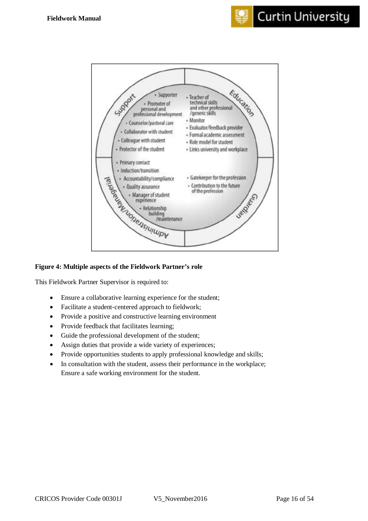

#### **Figure 4: Multiple aspects of the Fieldwork Partner's role**

This Fieldwork Partner Supervisor is required to:

- Ensure a collaborative learning experience for the student;
- Facilitate a student-centered approach to fieldwork;
- Provide a positive and constructive learning environment
- Provide feedback that facilitates learning;
- Guide the professional development of the student;
- Assign duties that provide a wide variety of experiences;
- Provide opportunities students to apply professional knowledge and skills;
- In consultation with the student, assess their performance in the workplace; Ensure a safe working environment for the student.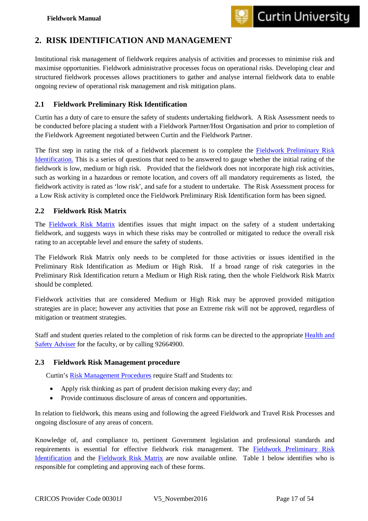## <span id="page-17-0"></span>**2. RISK IDENTIFICATION AND MANAGEMENT**

Institutional risk management of fieldwork requires analysis of activities and processes to minimise risk and maximise opportunities. Fieldwork administrative processes focus on operational risks. Developing clear and structured fieldwork processes allows practitioners to gather and analyse internal fieldwork data to enable ongoing review of operational risk management and risk mitigation plans.

#### <span id="page-17-1"></span>**2.1 Fieldwork Preliminary Risk Identification**

Curtin has a duty of care to ensure the safety of students undertaking fieldwork. A Risk Assessment needs to be conducted before placing a student with a Fieldwork Partner/Host Organisation and prior to completion of the Fieldwork Agreement negotiated between Curtin and the Fieldwork Partner.

The first step in rating the risk of a fieldwork placement is to complete the [Fieldwork Preliminary Risk](https://ctl.curtin.edu.au/wil/secure_docs/fwpri_web.pdf)  [Identification.](https://ctl.curtin.edu.au/wil/secure_docs/fwpri_web.pdf) This is a series of questions that need to be answered to gauge whether the initial rating of the fieldwork is low, medium or high risk. Provided that the fieldwork does not incorporate high risk activities, such as working in a hazardous or remote location, and covers off all mandatory requirements as listed, the fieldwork activity is rated as 'low risk', and safe for a student to undertake. The Risk Assessment process for a Low Risk activity is completed once the Fieldwork Preliminary Risk Identification form has been signed.

#### <span id="page-17-2"></span>**2.2 Fieldwork Risk Matrix**

The [Fieldwork Risk Matrix](https://ctl.curtin.edu.au/wil/fieldwork-forms/index.cfm) identifies issues that might impact on the safety of a student undertaking fieldwork, and suggests ways in which these risks may be controlled or mitigated to reduce the overall risk rating to an acceptable level and ensure the safety of students.

The Fieldwork Risk Matrix only needs to be completed for those activities or issues identified in the Preliminary Risk Identification as Medium or High Risk. If a broad range of risk categories in the Preliminary Risk Identification return a Medium or High Risk rating, then the whole Fieldwork Risk Matrix should be completed.

Fieldwork activities that are considered Medium or High Risk may be approved provided mitigation strategies are in place; however any activities that pose an Extreme risk will not be approved, regardless of mitigation or treatment strategies.

Staff and student queries related to the completion of risk forms can be directed to the appropriate [Health and](http://healthandsafety.curtin.edu.au/general/contact.cfm)  [Safety Adviser](http://healthandsafety.curtin.edu.au/general/contact.cfm) for the faculty, or by calling 92664900.

#### <span id="page-17-3"></span>**2.3 Fieldwork Risk Management procedure**

Curtin's [Risk Management Procedures](http://policies.curtin.edu.au/findapolicy/docs/Risk%20Management%20Procedures%20-%20Feb%202013.pdf) require Staff and Students to:

- Apply risk thinking as part of prudent decision making every day; and
- Provide continuous disclosure of areas of concern and opportunities.

In relation to fieldwork, this means using and following the agreed Fieldwork and Travel Risk Processes and ongoing disclosure of any areas of concern.

Knowledge of, and compliance to, pertinent Government legislation and professional standards and requirements is essential for effective fieldwork risk management. The [Fieldwork Preliminary Risk](https://ctl.curtin.edu.au/wil/secure_docs/fwpri_web.pdf)  [Identification](https://ctl.curtin.edu.au/wil/secure_docs/fwpri_web.pdf) and the [Fieldwork Risk Matrix](https://ctl.curtin.edu.au/wil/fieldwork-forms/index.cfm) are now available online. Table 1 below identifies who is responsible for completing and approving each of these forms.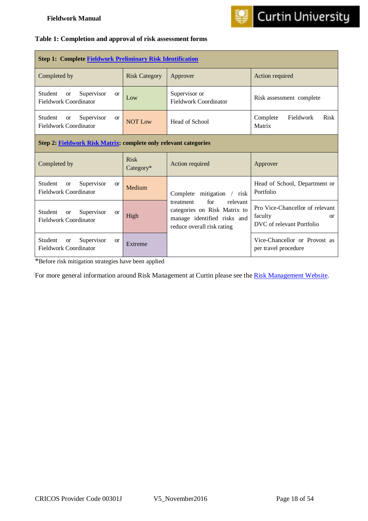

#### **Table 1: Completion and approval of risk assessment forms**

| <b>Step 1: Complete Fieldwork Preliminary Risk Identification</b>                   |                          |                                                                                                                           |                                                                                     |  |  |
|-------------------------------------------------------------------------------------|--------------------------|---------------------------------------------------------------------------------------------------------------------------|-------------------------------------------------------------------------------------|--|--|
| Completed by                                                                        | <b>Risk Category</b>     | Approver                                                                                                                  | Action required                                                                     |  |  |
| Supervisor<br>Student<br><b>or</b><br>$\alpha$<br><b>Fieldwork Coordinator</b>      | Low                      | Supervisor or<br><b>Fieldwork Coordinator</b>                                                                             | Risk assessment complete                                                            |  |  |
| Student<br>Supervisor<br><b>or</b><br><b>or</b><br>Fieldwork Coordinator            | <b>NOT Low</b>           | Head of School                                                                                                            | Fieldwork<br><b>Risk</b><br>Complete<br>Matrix                                      |  |  |
| Step 2: Fieldwork Risk Matrix: complete only relevant categories                    |                          |                                                                                                                           |                                                                                     |  |  |
| Completed by                                                                        | <b>Risk</b><br>Category* | Action required                                                                                                           | Approver                                                                            |  |  |
| Student<br>Supervisor<br><b>or</b><br><b>or</b><br>Fieldwork Coordinator            | Medium                   | Complete mitigation<br>$/$ risk                                                                                           | Head of School, Department or<br>Portfolio                                          |  |  |
| Student<br>Supervisor<br><sub>or</sub><br><b>or</b><br><b>Fieldwork Coordinator</b> | High                     | for<br>relevant<br>treatment<br>categories on Risk Matrix to<br>manage identified risks and<br>reduce overall risk rating | Pro Vice-Chancellor of relevant<br>faculty<br>$\alpha$<br>DVC of relevant Portfolio |  |  |
| Supervisor<br>Student<br><b>or</b><br><b>or</b><br>Fieldwork Coordinator            | Extreme                  | Vice-Chancellor or Provost as<br>per travel procedure                                                                     |                                                                                     |  |  |

\*Before risk mitigation strategies have been applied

For more general information around Risk Management at Curtin please see the [Risk Management Website.](http://riskmanagement.curtin.edu.au/)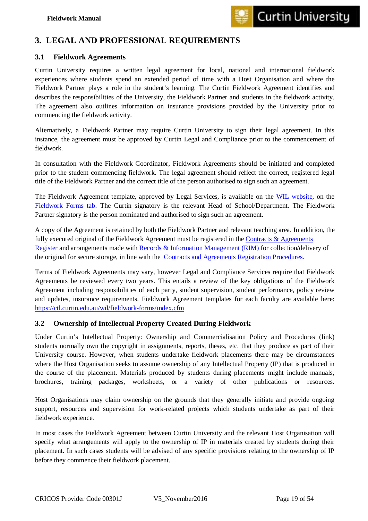## <span id="page-19-0"></span>**3. LEGAL AND PROFESSIONAL REQUIREMENTS**

#### <span id="page-19-1"></span>**3.1 Fieldwork Agreements**

Curtin University requires a written legal agreement for local, national and international fieldwork experiences where students spend an extended period of time with a Host Organisation and where the Fieldwork Partner plays a role in the student's learning. The Curtin Fieldwork Agreement identifies and describes the responsibilities of the University, the Fieldwork Partner and students in the fieldwork activity. The agreement also outlines information on insurance provisions provided by the University prior to commencing the fieldwork activity.

Alternatively, a Fieldwork Partner may require Curtin University to sign their legal agreement. In this instance, the agreement must be approved by Curtin Legal and Compliance prior to the commencement of fieldwork.

In consultation with the Fieldwork Coordinator, Fieldwork Agreements should be initiated and completed prior to the student commencing fieldwork. The legal agreement should reflect the correct, registered legal title of the Fieldwork Partner and the correct title of the person authorised to sign such an agreement.

The Fieldwork Agreement template, approved by Legal Services, is available on the [WIL website,](https://ctl.curtin.edu.au/wil/index.cfm) on the [Fieldwork Forms tab.](https://ctl.curtin.edu.au/wil/fieldwork-forms/index.cfm) The Curtin signatory is the relevant Head of School/Department. The Fieldwork Partner signatory is the person nominated and authorised to sign such an agreement.

A copy of the Agreement is retained by both the Fieldwork Partner and relevant teaching area. In addition, the fully executed original of the Fieldwork Agreement must be registered in the Contracts & Agreements [Register a](https://contracts.curtin.edu.au/contracts/search.cfm)nd arrangements made with [Records & Information Management \(RIM\)](mailto:rim@curtin.edu.au) for collection/delivery of the original for secure storage, in line with the [Contracts and Agreements Registration Procedures.](https://policies.curtin.edu.au/findapolicy/docs/Contracts_and_Agreements_Registration_Procedures.pdf) 

Terms of Fieldwork Agreements may vary, however Legal and Compliance Services require that Fieldwork Agreements be reviewed every two years. This entails a review of the key obligations of the Fieldwork Agreement including responsibilities of each party, student supervision, student performance, policy review and updates, insurance requirements. Fieldwork Agreement templates for each faculty are available here: <https://ctl.curtin.edu.au/wil/fieldwork-forms/index.cfm>

#### <span id="page-19-2"></span>**3.2 Ownership of Int**e**llectual Property Created During Fieldwork**

Under Curtin's Intellectual Property: Ownership and Commercialisation Policy and Procedures (link) students normally own the copyright in assignments, reports, theses, etc. that they produce as part of their University course. However, when students undertake fieldwork placements there may be circumstances where the Host Organisation seeks to assume ownership of any Intellectual Property (IP) that is produced in the course of the placement. Materials produced by students during placements might include manuals, brochures, training packages, worksheets, or a variety of other publications or resources.

Host Organisations may claim ownership on the grounds that they generally initiate and provide ongoing support, resources and supervision for work-related projects which students undertake as part of their fieldwork experience.

In most cases the Fieldwork Agreement between Curtin University and the relevant Host Organisation will specify what arrangements will apply to the ownership of IP in materials created by students during their placement. In such cases students will be advised of any specific provisions relating to the ownership of IP before they commence their fieldwork placement.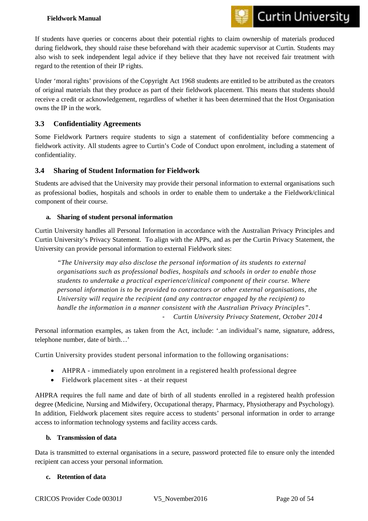#### **Fieldwork Manual**



If students have queries or concerns about their potential rights to claim ownership of materials produced during fieldwork, they should raise these beforehand with their academic supervisor at Curtin. Students may also wish to seek independent legal advice if they believe that they have not received fair treatment with regard to the retention of their IP rights.

Under 'moral rights' provisions of the Copyright Act 1968 students are entitled to be attributed as the creators of original materials that they produce as part of their fieldwork placement. This means that students should receive a credit or acknowledgement, regardless of whether it has been determined that the Host Organisation owns the IP in the work.

#### <span id="page-20-0"></span>**3.3 Confidentiality Agreements**

Some Fieldwork Partners require students to sign a statement of confidentiality before commencing a fieldwork activity. All students agree to Curtin's Code of Conduct upon enrolment, including a statement of confidentiality.

#### <span id="page-20-1"></span>**3.4 Sharing of Student Information for Fieldwork**

Students are advised that the University may provide their personal information to external organisations such as professional bodies, hospitals and schools in order to enable them to undertake a the Fieldwork/clinical component of their course.

#### **a. Sharing of student personal information**

Curtin University handles all Personal Information in accordance with the Australian Privacy Principles and Curtin University's Privacy Statement. To align with the APPs, and as per the Curtin Privacy Statement, the University can provide personal information to external Fieldwork sites:

*"The University may also disclose the personal information of its students to external organisations such as professional bodies, hospitals and schools in order to enable those students to undertake a practical experience/clinical component of their course. Where personal information is to be provided to contractors or other external organisations, the University will require the recipient (and any contractor engaged by the recipient) to handle the information in a manner consistent with the Australian Privacy Principles".* - *Curtin University Privacy Statement, October 2014*

Personal information examples, as taken from the Act, include: '.an individual's name, signature, address, telephone number, date of birth…'

Curtin University provides student personal information to the following organisations:

- AHPRA immediately upon enrolment in a registered health professional degree
- Fieldwork placement sites at their request

AHPRA requires the full name and date of birth of all students enrolled in a registered health profession degree (Medicine, Nursing and Midwifery, Occupational therapy, Pharmacy, Physiotherapy and Psychology). In addition, Fieldwork placement sites require access to students' personal information in order to arrange access to information technology systems and facility access cards.

#### **b. Transmission of data**

Data is transmitted to external organisations in a secure, password protected file to ensure only the intended recipient can access your personal information.

#### **c. Retention of data**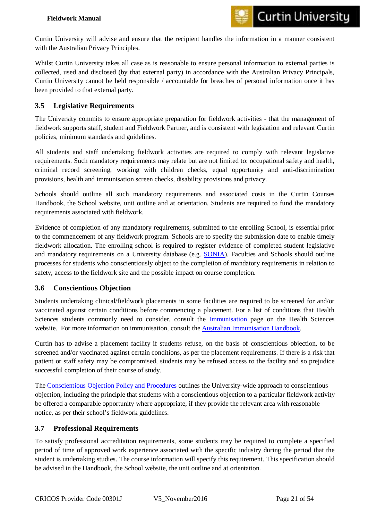Curtin University will advise and ensure that the recipient handles the information in a manner consistent with the Australian Privacy Principles.

Whilst Curtin University takes all case as is reasonable to ensure personal information to external parties is collected, used and disclosed (by that external party) in accordance with the Australian Privacy Principals, Curtin University cannot be held responsible / accountable for breaches of personal information once it has been provided to that external party.

#### <span id="page-21-0"></span>**3.5 Legislative Requirements**

The University commits to ensure appropriate preparation for fieldwork activities - that the management of fieldwork supports staff, student and Fieldwork Partner, and is consistent with legislation and relevant Curtin policies, minimum standards and guidelines.

All students and staff undertaking fieldwork activities are required to comply with relevant legislative requirements. Such mandatory requirements may relate but are not limited to: occupational safety and health, criminal record screening, working with children checks, equal opportunity and anti-discrimination provisions, health and immunisation screen checks, disability provisions and privacy.

Schools should outline all such mandatory requirements and associated costs in the Curtin Courses Handbook, the School website, unit outline and at orientation. Students are required to fund the mandatory requirements associated with fieldwork.

Evidence of completion of any mandatory requirements, submitted to the enrolling School, is essential prior to the commencement of any fieldwork program. Schools are to specify the submission date to enable timely fieldwork allocation. The enrolling school is required to register evidence of completed student legislative and mandatory requirements on a University database (e.g. [SONIA\)](http://healthsciences.curtin.edu.au/future_students/sonia.cfm). Faculties and Schools should outline processes for students who conscientiously object to the completion of mandatory requirements in relation to safety, access to the fieldwork site and the possible impact on course completion.

#### <span id="page-21-1"></span>**3.6 Conscientious Objection**

Students undertaking clinical/fieldwork placements in some facilities are required to be screened for and/or vaccinated against certain conditions before commencing a placement. For a list of conditions that Health Sciences students commonly need to consider, consult the [Immunisation](http://healthsciences.curtin.edu.au/future_students/immunisation.cfm) page on the Health Sciences website. For more information on immunisation, consult the [Australian Immunisation Handbook.](http://www.immunise.health.gov.au/internet/immunise/publishing.nsf/Content/Handbook10-home) 

Curtin has to advise a placement facility if students refuse, on the basis of conscientious objection, to be screened and/or vaccinated against certain conditions, as per the placement requirements. If there is a risk that patient or staff safety may be compromised, students may be refused access to the facility and so prejudice successful completion of their course of study.

The [Conscientious Objection Policy and Procedures](http://policies.curtin.edu.au/findapolicy/index.cfm) outlines the University-wide approach to conscientious objection, including the principle that students with a conscientious objection to a particular fieldwork activity be offered a comparable opportunity where appropriate, if they provide the relevant area with reasonable notice, as per their school's fieldwork guidelines.

#### <span id="page-21-2"></span>**3.7 Professional Requirements**

To satisfy professional accreditation requirements, some students may be required to complete a specified period of time of approved work experience associated with the specific industry during the period that the student is undertaking studies. The course information will specify this requirement. This specification should be advised in the Handbook, the School website, the unit outline and at orientation.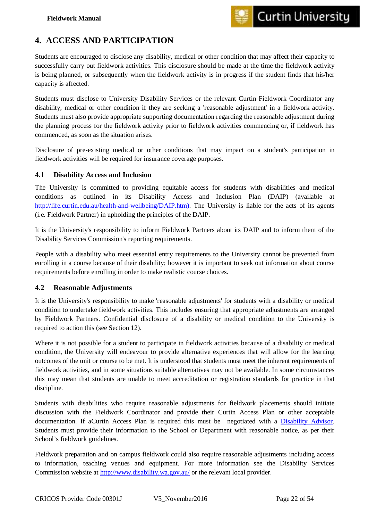## <span id="page-22-0"></span>**4. ACCESS AND PARTICIPATION**

Students are encouraged to disclose any disability, medical or other condition that may affect their capacity to successfully carry out fieldwork activities. This disclosure should be made at the time the fieldwork activity is being planned, or subsequently when the fieldwork activity is in progress if the student finds that his/her capacity is affected.

Students must disclose to University Disability Services or the relevant Curtin Fieldwork Coordinator any disability, medical or other condition if they are seeking a 'reasonable adjustment' in a fieldwork activity. Students must also provide appropriate supporting documentation regarding the reasonable adjustment during the planning process for the fieldwork activity prior to fieldwork activities commencing or, if fieldwork has commenced, as soon as the situation arises.

Disclosure of pre-existing medical or other conditions that may impact on a student's participation in fieldwork activities will be required for insurance coverage purposes.

#### <span id="page-22-1"></span>**4.1 Disability Access and Inclusion**

The University is committed to providing equitable access for students with disabilities and medical conditions as outlined in its Disability Access and Inclusion Plan (DAIP) (available at [http://life.curtin.edu.au/health-and-wellbeing/DAIP.htm\).](http://life.curtin.edu.au/health-and-wellbeing/DAIP.htm) The University is liable for the acts of its agents (i.e. Fieldwork Partner) in upholding the principles of the DAIP.

It is the University's responsibility to inform Fieldwork Partners about its DAIP and to inform them of the Disability Services Commission's reporting requirements.

People with a disability who meet essential entry requirements to the University cannot be prevented from enrolling in a course because of their disability; however it is important to seek out information about course requirements before enrolling in order to make realistic course choices.

#### <span id="page-22-2"></span>**4.2 Reasonable Adjustments**

It is the University's responsibility to make 'reasonable adjustments' for students with a disability or medical condition to undertake fieldwork activities. This includes ensuring that appropriate adjustments are arranged by Fieldwork Partners. Confidential disclosure of a disability or medical condition to the University is required to action this (see Section 12).

Where it is not possible for a student to participate in fieldwork activities because of a disability or medical condition, the University will endeavour to provide alternative experiences that will allow for the learning outcomes of the unit or course to be met. It is understood that students must meet the inherent requirements of fieldwork activities, and in some situations suitable alternatives may not be available. In some circumstances this may mean that students are unable to meet accreditation or registration standards for practice in that discipline.

Students with disabilities who require reasonable adjustments for fieldwork placements should initiate discussion with the Fieldwork Coordinator and provide their Curtin Access Plan or other acceptable documentation. If aCurtin Access Plan is required this must be negotiated with a [Disability Advisor.](http://life.curtin.edu.au/health-and-wellbeing/contact_disability_services.htm) Students must provide their information to the School or Department with reasonable notice, as per their School's fieldwork guidelines.

Fieldwork preparation and on campus fieldwork could also require reasonable adjustments including access to information, teaching venues and equipment. For more information see the Disability Services Commission website at <http://www.disability.wa.gov.au/> or the relevant local provider.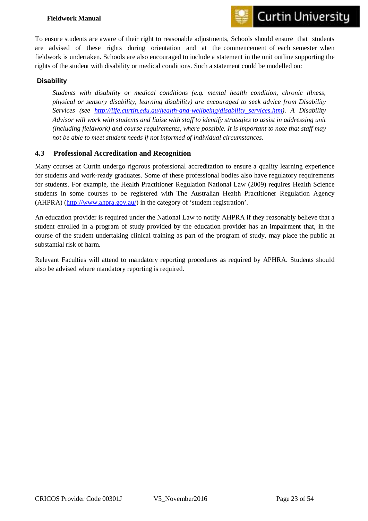#### **Fieldwork Manual**



To ensure students are aware of their right to reasonable adjustments, Schools should ensure that students are advised of these rights during orientation and at the commencement of each semester when fieldwork is undertaken. Schools are also encouraged to include a statement in the unit outline supporting the rights of the student with disability or medical conditions. Such a statement could be modelled on:

#### **Disability**

*Students with disability or medical conditions (e.g. mental health condition, chronic illness, physical or sensory disability, learning disability) are encouraged to seek advice from Disability Services (see [http://life.curtin.edu.au/health-and-wellbeing/disability\\_services.htm\)](http://life.curtin.edu.au/health-and-wellbeing/disability_services.htm). A Disability Advisor will work with students and liaise with staff to identify strategies to assist in addressing unit (including fieldwork) and course requirements, where possible. It is important to note that staff may not be able to meet student needs if not informed of individual circumstances.*

#### <span id="page-23-0"></span>**4.3 Professional Accreditation and Recognition**

Many courses at Curtin undergo rigorous professional accreditation to ensure a quality learning experience for students and work-ready graduates. Some of these professional bodies also have regulatory requirements for students. For example, the Health Practitioner Regulation National Law (2009) requires Health Science students in some courses to be registered with The Australian Health Practitioner Regulation Agency (AHPRA) [\(http://www.ahpra.gov.au/\)](http://www.ahpra.gov.au/) in the category of 'student registration'.

An education provider is required under the National Law to notify AHPRA if they reasonably believe that a student enrolled in a program of study provided by the education provider has an impairment that, in the course of the student undertaking clinical training as part of the program of study, may place the public at substantial risk of harm.

Relevant Faculties will attend to mandatory reporting procedures as required by APHRA. Students should also be advised where mandatory reporting is required.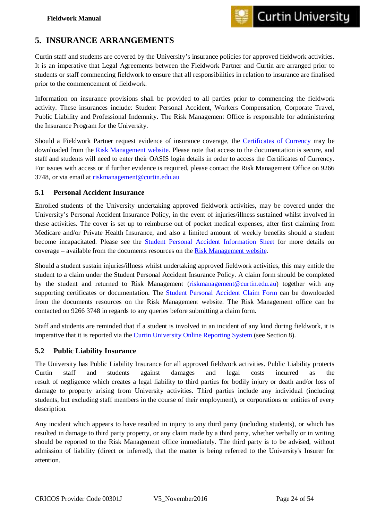## <span id="page-24-0"></span>**5. INSURANCE ARRANGEMENTS**

Curtin staff and students are covered by the University's insurance policies for approved fieldwork activities. It is an imperative that Legal Agreements between the Fieldwork Partner and Curtin are arranged prior to students or staff commencing fieldwork to ensure that all responsibilities in relation to insurance are finalised prior to the commencement of fieldwork.

Information on insurance provisions shall be provided to all parties prior to commencing the fieldwork activity. These insurances include: Student Personal Accident, Workers Compensation, Corporate Travel, Public Liability and Professional Indemnity. The Risk Management Office is responsible for administering the Insurance Program for the University.

Should a Fieldwork Partner request evidence of insurance coverage, the [Certificates of Currency](https://riskmanagement.curtin.edu.au/insurance/certificates_of_currency.cfm) may be downloaded from the [Risk Management website.](https://riskmanagement.curtin.edu.au/index.cfm) Please note that access to the documentation is secure, and staff and students will need to enter their OASIS login details in order to access the Certificates of Currency. For issues with access or if further evidence is required, please contact the Risk Management Office on 9266 3748, or via email at [riskmanagement@curtin.edu.au](mailto:riskmanagement@curtin.edu.au)

#### <span id="page-24-1"></span>**5.1 Personal Accident Insurance**

Enrolled students of the University undertaking approved fieldwork activities, may be covered under the University's Personal Accident Insurance Policy, in the event of injuries/illness sustained whilst involved in these activities. The cover is set up to reimburse out of pocket medical expenses, after first claiming from Medicare and/or Private Health Insurance, and also a limited amount of weekly benefits should a student become incapacitated. Please see the [Student Personal Accident Information Sheet](https://riskmanagement.curtin.edu.au/insurance/personal_accident.cfm) for more details on coverage – available from the documents resources on the [Risk Management website.](https://riskmanagement.curtin.edu.au/index.cfm)

Should a student sustain injuries/illness whilst undertaking approved fieldwork activities, this may entitle the student to a claim under the Student Personal Accident Insurance Policy. A claim form should be completed by the student and returned to Risk Management [\(riskmanagement@curtin.edu.au\)](mailto:riskmanagement@curtin.edu.au) together with any supporting certificates or documentation. The [Student Personal Accident Claim Form](http://riskmanagement.curtin.edu.au/forms/index.cfm) can be downloaded from the documents resources on the Risk Management website. The Risk Management office can be contacted on 9266 3748 in regards to any queries before submitting a claim form.

Staff and students are reminded that if a student is involved in an incident of any kind during fieldwork, it is imperative that it is reported via the [Curtin University Online Reporting System](https://riskmanager5.rmss.com.au/CurtinUni/incidents/reportincident.aspx) (see Section 8).

#### <span id="page-24-2"></span>**5.2 Public Liability Insurance**

The University has Public Liability Insurance for all approved fieldwork activities. Public Liability protects Curtin staff and students against damages and legal costs incurred as the result of negligence which creates a legal liability to third parties for bodily injury or death and/or loss of damage to property arising from University activities. Third parties include any individual (including students, but excluding staff members in the course of their employment), or corporations or entities of every description.

Any incident which appears to have resulted in injury to any third party (including students), or which has resulted in damage to third party property, or any claim made by a third party, whether verbally or in writing should be reported to the Risk Management office immediately. The third party is to be advised, without admission of liability (direct or inferred), that the matter is being referred to the University's Insurer for attention.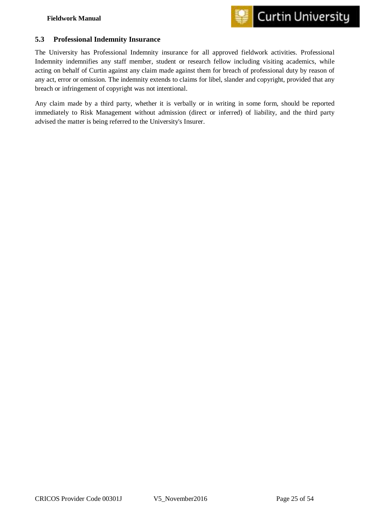

#### <span id="page-25-0"></span>**5.3 Professional Indemnity Insurance**

The University has Professional Indemnity insurance for all approved fieldwork activities. Professional Indemnity indemnifies any staff member, student or research fellow including visiting academics, while acting on behalf of Curtin against any claim made against them for breach of professional duty by reason of any act, error or omission. The indemnity extends to claims for libel, slander and copyright, provided that any breach or infringement of copyright was not intentional.

Any claim made by a third party, whether it is verbally or in writing in some form, should be reported immediately to Risk Management without admission (direct or inferred) of liability, and the third party advised the matter is being referred to the University's Insurer.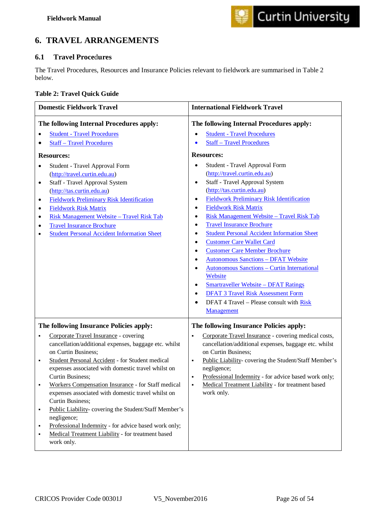## <span id="page-26-0"></span>**6. TRAVEL ARRANGEMENTS**

#### <span id="page-26-1"></span>**6.1 Travel Proce**d**ures**

The Travel Procedures, Resources and Insurance Policies relevant to fieldwork are summarised in Table 2 below.

| <b>Table 2: Travel Quick Guide</b> |  |  |  |
|------------------------------------|--|--|--|
|------------------------------------|--|--|--|

| <b>Domestic Fieldwork Travel</b>                                                                                                                                                                                                                                                                                                                                                                                                                                                                                                                                                                                                                    | <b>International Fieldwork Travel</b>                                                                                                                                                                                                                                                                                                                                                                                                                                                                                                                                                                                                                                                                                                                                                                                                                                                        |
|-----------------------------------------------------------------------------------------------------------------------------------------------------------------------------------------------------------------------------------------------------------------------------------------------------------------------------------------------------------------------------------------------------------------------------------------------------------------------------------------------------------------------------------------------------------------------------------------------------------------------------------------------------|----------------------------------------------------------------------------------------------------------------------------------------------------------------------------------------------------------------------------------------------------------------------------------------------------------------------------------------------------------------------------------------------------------------------------------------------------------------------------------------------------------------------------------------------------------------------------------------------------------------------------------------------------------------------------------------------------------------------------------------------------------------------------------------------------------------------------------------------------------------------------------------------|
| The following Internal Procedures apply:<br><b>Student - Travel Procedures</b><br><b>Staff - Travel Procedures</b><br><b>Resources:</b><br>Student - Travel Approval Form<br>٠<br>(http://travel.curtin.edu.au)<br>Staff - Travel Approval System<br>$\bullet$<br>(http://tas.curtin.edu.au)<br><b>Fieldwork Preliminary Risk Identification</b><br>$\bullet$<br><b>Fieldwork Risk Matrix</b><br>٠<br>Risk Management Website - Travel Risk Tab<br>٠<br><b>Travel Insurance Brochure</b><br>٠<br><b>Student Personal Accident Information Sheet</b><br>$\bullet$                                                                                    | The following Internal Procedures apply:<br><b>Student - Travel Procedures</b><br><b>Staff - Travel Procedures</b><br><b>Resources:</b><br>Student - Travel Approval Form<br>(http://travel.curtin.edu.au)<br>Staff - Travel Approval System<br>٠<br>(http://tas.curtin.edu.au)<br><b>Fieldwork Preliminary Risk Identification</b><br>٠<br><b>Fieldwork Risk Matrix</b><br>٠<br>Risk Management Website - Travel Risk Tab<br>٠<br><b>Travel Insurance Brochure</b><br>٠<br><b>Student Personal Accident Information Sheet</b><br><b>Customer Care Wallet Card</b><br><b>Customer Care Member Brochure</b><br><b>Autonomous Sanctions - DFAT Website</b><br><b>Autonomous Sanctions - Curtin International</b><br>Website<br><b>Smartraveller Website - DFAT Ratings</b><br><b>DFAT 3 Travel Risk Assessment Form</b><br>$\bullet$<br>DFAT 4 Travel - Please consult with Risk<br>Management |
| The following Insurance Policies apply:<br>Corporate Travel Insurance - covering<br>٠<br>cancellation/additional expenses, baggage etc. whilst<br>on Curtin Business;<br>Student Personal Accident - for Student medical<br>٠<br>expenses associated with domestic travel whilst on<br>Curtin Business;<br>Workers Compensation Insurance - for Staff medical<br>expenses associated with domestic travel whilst on<br>Curtin Business;<br>Public Liability-covering the Student/Staff Member's<br>٠<br>negligence;<br>Professional Indemnity - for advice based work only;<br>Medical Treatment Liability - for treatment based<br>٠<br>work only. | The following Insurance Policies apply:<br>Corporate Travel Insurance - covering medical costs,<br>$\blacksquare$<br>cancellation/additional expenses, baggage etc. whilst<br>on Curtin Business;<br>Public Liability-covering the Student/Staff Member's<br>٠<br>negligence;<br>Professional Indemnity - for advice based work only;<br>Medical Treatment Liability - for treatment based<br>٠<br>work only.                                                                                                                                                                                                                                                                                                                                                                                                                                                                                |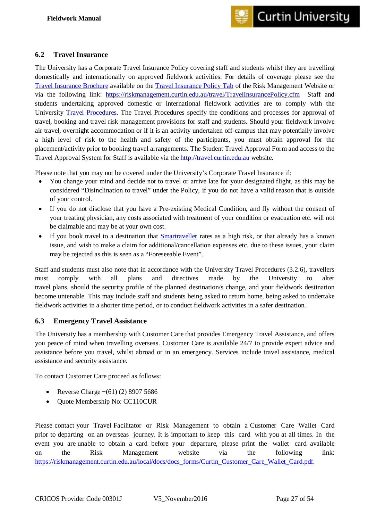#### <span id="page-27-0"></span>**6.2 Travel Insurance**

The University has a Corporate Travel Insurance Policy covering staff and students whilst they are travelling domestically and internationally on approved fieldwork activities. For details of coverage please see the [Travel Insurance Brochure](https://riskmanagement.curtin.edu.au/local/docs/docs_forms/2015_Travel_Insurance_Brochure.pdf) available on the [Travel Insurance Policy Tab](https://riskmanagement.curtin.edu.au/travel/TravelInsurancePolicy.cfm) of the Risk Management Website or via the following link: <https://riskmanagement.curtin.edu.au/travel/TravelInsurancePolicy.cfm> Staff and students undertaking approved domestic or international fieldwork activities are to comply with the University [Travel Procedures.](http://policies.curtin.edu.au/findapolicy/) The Travel Procedures specify the conditions and processes for approval of travel, booking and travel risk management provisions for staff and students. Should your fieldwork involve air travel, overnight accommodation or if it is an activity undertaken off-campus that may potentially involve a high level of risk to the health and safety of the participants, you must obtain approval for the placement/activity prior to booking travel arrangements. The Student Travel Approval Form and access to the Travel Approval System for Staff is available via the [http://travel.curtin.edu.au](http://travel.curtin.edu.au/) website.

Please note that you may not be covered under the University's Corporate Travel Insurance if:

- You change your mind and decide not to travel or arrive late for your designated flight, as this may be considered "Disinclination to travel" under the Policy, if you do not have a valid reason that is outside of your control.
- If you do not disclose that you have a Pre-existing Medical Condition, and fly without the consent of your treating physician, any costs associated with treatment of your condition or evacuation etc. will not be claimable and may be at your own cost.
- If you book travel to a destination that [Smartraveller](http://smartraveller.gov.au/) rates as a high risk, or that already has a known issue, and wish to make a claim for additional/cancellation expenses etc. due to these issues, your claim may be rejected as this is seen as a "Foreseeable Event".

Staff and students must also note that in accordance with the University Travel Procedures (3.2.6), travellers must comply with all plans and directives made by the University to alter travel plans, should the security profile of the planned destination/s change, and your fieldwork destination become untenable. This may include staff and students being asked to return home, being asked to undertake fieldwork activities in a shorter time period, or to conduct fieldwork activities in a safer destination.

### <span id="page-27-1"></span>**6.3 Emergency Travel Assistance**

The University has a membership with Customer Care that provides Emergency Travel Assistance, and offers you peace of mind when travelling overseas. Customer Care is available 24/7 to provide expert advice and assistance before you travel, whilst abroad or in an emergency. Services include travel assistance, medical assistance and security assistance.

To contact Customer Care proceed as follows:

- Reverse Charge  $+(61)$  (2) 8907 5686
- Quote Membership No: CC110CUR

Please contact your Travel Facilitator or Risk Management to obtain a Customer Care Wallet Card prior to departing on an overseas journey. It is important to keep this card with you at all times. In the event you are unable to obtain a card before your departure, please print the wallet card available on the Risk Management website via the following link: [https://riskmanagement.curtin.edu.au/local/docs/docs\\_forms/Curtin\\_Customer\\_Care\\_Wallet\\_Card.pdf.](https://riskmanagement.curtin.edu.au/local/docs/docs_forms/Curtin_Customer_Care_Wallet_Card.pdf)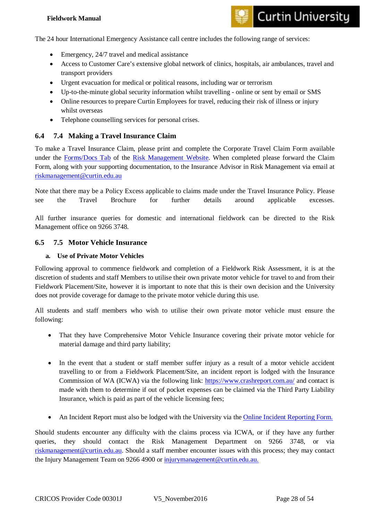#### **Fieldwork Manual**

## **Curtin University**

The 24 hour International Emergency Assistance call centre includes the following range of services:

- Emergency, 24/7 travel and medical assistance
- Access to Customer Care's extensive global network of clinics, hospitals, air ambulances, travel and transport providers
- Urgent evacuation for medical or political reasons, including war or terrorism
- Up-to-the-minute global security information whilst travelling online or sent by email or SMS
- Online resources to prepare Curtin Employees for travel, reducing their risk of illness or injury whilst overseas
- Telephone counselling services for personal crises.

#### <span id="page-28-0"></span>**6.4 7.4 Making a Travel Insurance Claim**

To make a Travel Insurance Claim, please print and complete the Corporate Travel Claim Form available under the [Forms/Docs Tab](http://riskmanagement.curtin.edu.au/forms/index.cfm) of the [Risk Management Website.](http://riskmanagement.curtin.edu.au/) When completed please forward the Claim Form, along with your supporting documentation, to the Insurance Advisor in Risk Management via email at [riskmanagement@curtin.edu.au](mailto:riskmanagement@curtin.edu.au)

Note that there may be a Policy Excess applicable to claims made under the Travel Insurance Policy. Please see the Travel Brochure for further details around applicable excesses.

All further insurance queries for domestic and international fieldwork can be directed to the Risk Management office on 9266 3748.

#### <span id="page-28-1"></span>**6.5 7.5 Motor Vehicle Insurance**

#### <span id="page-28-2"></span>**a. Use of Private Motor Vehicles**

Following approval to commence fieldwork and completion of a Fieldwork Risk Assessment, it is at the discretion of students and staff Members to utilise their own private motor vehicle for travel to and from their Fieldwork Placement/Site, however it is important to note that this is their own decision and the University does not provide coverage for damage to the private motor vehicle during this use.

All students and staff members who wish to utilise their own private motor vehicle must ensure the following:

- That they have Comprehensive Motor Vehicle Insurance covering their private motor vehicle for material damage and third party liability;
- In the event that a student or staff member suffer injury as a result of a motor vehicle accident travelling to or from a Fieldwork Placement/Site, an incident report is lodged with the Insurance Commission of WA (ICWA) via the following link:<https://www.crashreport.com.au/> and contact is made with them to determine if out of pocket expenses can be claimed via the Third Party Liability Insurance, which is paid as part of the vehicle licensing fees;
- An Incident Report must also be lodged with the University via the [Online Incident Reporting Form.](https://riskmanager5.rmss.com.au/CurtinUni/incidents/reportincident.aspx)

Should students encounter any difficulty with the claims process via ICWA, or if they have any further queries, they should contact the Risk Management Department on 9266 3748, or via [riskmanagement@curtin.edu.au.](mailto:riskmanagement@curtin.edu.au) Should a staff member encounter issues with this process; they may contact the Injury Management Team on 9266 4900 or [injurymanagement@curtin.edu.au.](mailto:injurymanagement@curtin.edu.au)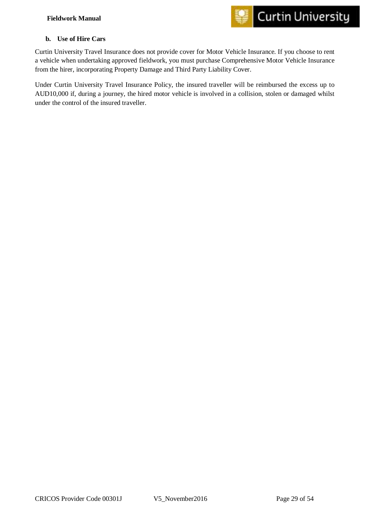

#### <span id="page-29-0"></span>**b. Use of Hire Cars**

Curtin University Travel Insurance does not provide cover for Motor Vehicle Insurance. If you choose to rent a vehicle when undertaking approved fieldwork, you must purchase Comprehensive Motor Vehicle Insurance from the hirer, incorporating Property Damage and Third Party Liability Cover.

Under Curtin University Travel Insurance Policy, the insured traveller will be reimbursed the excess up to AUD10,000 if, during a journey, the hired motor vehicle is involved in a collision, stolen or damaged whilst under the control of the insured traveller.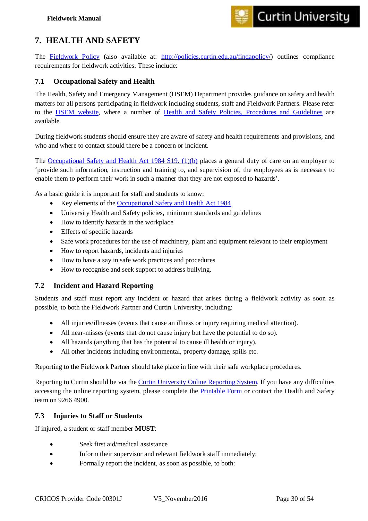## <span id="page-30-0"></span>**7. HEALTH AND SAFETY**

The [Fieldwork Policy](http://ctl.curtin.edu.au/wil/fieldwork/index.cfm) (also available at: [http://policies.curtin.edu.au/findapolicy/\)](http://policies.curtin.edu.au/findapolicy/) outlines compliance requirements for fieldwork activities. These include:

#### <span id="page-30-1"></span>**7.1 Occupational Safety and Health**

The Health, Safety and Emergency Management (HSEM) Department provides guidance on safety and health matters for all persons participating in fieldwork including students, staff and Fieldwork Partners. Please refer to the [HSEM website,](http://healthandsafety.curtin.edu.au/index.cfm) where a number of [Health and Safety Policies, Procedures and Guidelines](http://healthandsafety.curtin.edu.au/safety_management/policies.cfm) are available.

During fieldwork students should ensure they are aware of safety and health requirements and provisions, and who and where to contact should there be a concern or incident.

The [Occupational Safety and Health Act 1984](http://smartmove.safetyline.wa.gov.au/pluginfile.php/155/mod_resource/content/7/OSH_Act_1984.pdf) S19. (1)(b) places a general duty of care on an employer to 'provide such information, instruction and training to, and supervision of, the employees as is necessary to enable them to perform their work in such a manner that they are not exposed to hazards'.

As a basic guide it is important for staff and students to know:

- Key elements of the [Occupational Safety and Health Act 1984](httphttp://smartmove.safetyline.wa.gov.au/pluginfile.php/155/mod_resource/content/7/OSH_Act_1984.pdf)
- University Health and Safety policies, minimum standards and guidelines
- How to identify hazards in the workplace
- Effects of specific hazards
- Safe work procedures for the use of machinery, plant and equipment relevant to their employment
- How to report hazards, incidents and injuries
- How to have a say in safe work practices and procedures
- How to recognise and seek support to address bullying.

#### <span id="page-30-2"></span>**7.2 Incident and Hazard Reporting**

Students and staff must report any incident or hazard that arises during a fieldwork activity as soon as possible, to both the Fieldwork Partner and Curtin University, including:

- All injuries/illnesses (events that cause an illness or injury requiring medical attention).
- All near-misses (events that do not cause injury but have the potential to do so).
- All hazards (anything that has the potential to cause ill health or injury).
- All other incidents including environmental, property damage, spills etc.

Reporting to the Fieldwork Partner should take place in line with their safe workplace procedures.

Reporting to Curtin should be via the [Curtin University Online Reporting System.](https://riskmanager5.rmss.com.au/CurtinUni/incidents/reportincident.aspx) If you have any difficulties accessing the online reporting system, please complete the **Printable Form** or contact the Health and Safety team on 9266 4900.

#### <span id="page-30-3"></span>**7.3 Injuries to Staff or Students**

If injured, a student or staff member **MUST**:

- Seek first aid/medical assistance
- Inform their supervisor and relevant fieldwork staff immediately;
- Formally report the incident, as soon as possible, to both: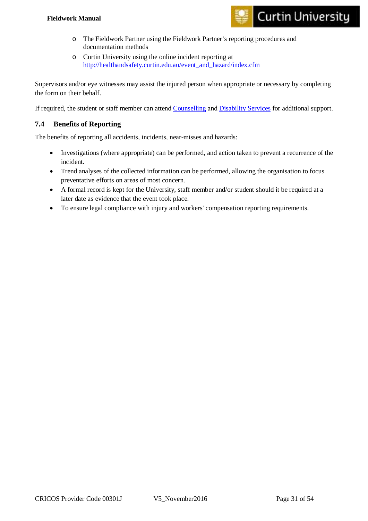#### **Fieldwork Manual**



- o The Fieldwork Partner using the Fieldwork Partner's reporting procedures and documentation methods
- o Curtin University using the online incident reporting at [http://healthandsafety.curtin.edu.au/event\\_and\\_hazard/index.cfm](http://healthandsafety.curtin.edu.au/event_and_hazard/index.cfm)

Supervisors and/or eye witnesses may assist the injured person when appropriate or necessary by completing the form on their behalf.

If required, the student or staff member can attend [Counselling](http://life.curtin.edu.au/health-and-wellbeing/counselling_services.htm) and [Disability Services](http://life.curtin.edu.au/health-and-wellbeing/disability_services.htm) for additional support.

#### <span id="page-31-0"></span>**7.4 Benefits of Reporting**

The benefits of reporting all accidents, incidents, near-misses and hazards:

- Investigations (where appropriate) can be performed, and action taken to prevent a recurrence of the incident.
- Trend analyses of the collected information can be performed, allowing the organisation to focus preventative efforts on areas of most concern.
- A formal record is kept for the University, staff member and/or student should it be required at a later date as evidence that the event took place.
- To ensure legal compliance with injury and workers' compensation reporting requirements.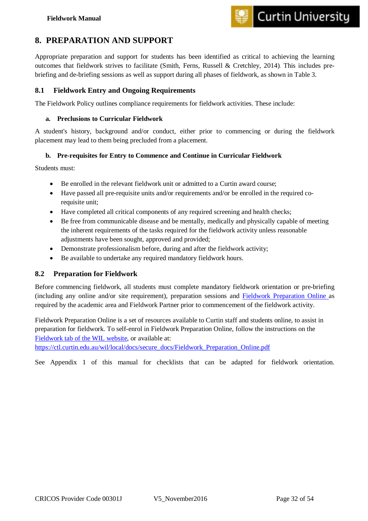

## <span id="page-32-0"></span>**8. PREPARATION AND SUPPORT**

Appropriate preparation and support for students has been identified as critical to achieving the learning outcomes that fieldwork strives to facilitate (Smith, Ferns, Russell & Cretchley, 2014). This includes prebriefing and de-briefing sessions as well as support during all phases of fieldwork, as shown in Table 3.

#### <span id="page-32-1"></span>**8.1 Fieldwork Entry and Ongoing Requirements**

The Fieldwork Policy outlines compliance requirements for fieldwork activities. These include:

#### <span id="page-32-2"></span>**a. Preclusions to Curricular Fieldwork**

A student's history, background and/or conduct, either prior to commencing or during the fieldwork placement may lead to them being precluded from a placement.

#### <span id="page-32-3"></span>**b. Pre-requisites for Entry to Commence and Continue in Curricular Fieldwork**

Students must:

- Be enrolled in the relevant fieldwork unit or admitted to a Curtin award course;
- Have passed all pre-requisite units and/or requirements and/or be enrolled in the required corequisite unit;
- Have completed all critical components of any required screening and health checks;
- Be free from communicable disease and be mentally, medically and physically capable of meeting the inherent requirements of the tasks required for the fieldwork activity unless reasonable adjustments have been sought, approved and provided;
- Demonstrate professionalism before, during and after the fieldwork activity;
- Be available to undertake any required mandatory fieldwork hours.

#### <span id="page-32-4"></span>**8.2 Preparation for Fieldwork**

Before commencing fieldwork, all students must complete mandatory fieldwork orientation or pre-briefing (including any online and/or site requirement), preparation sessions and [Fieldwork Preparation Online](https://ctl.curtin.edu.au/wil/local/docs/secure_docs/Fieldwork_Preparation_Online.pdf) as required by the academic area and Fieldwork Partner prior to commencement of the fieldwork activity.

Fieldwork Preparation Online is a set of resources available to Curtin staff and students online, to assist in preparation for fieldwork. To self-enrol in Fieldwork Preparation Online, follow the instructions on the [Fieldwork tab of the WIL website,](http://ctl.curtin.edu.au/wil/fieldwork/index.cfm) or available at:

[https://ctl.curtin.edu.au/wil/local/docs/secure\\_docs/Fieldwork\\_Preparation\\_Online.pdf](https://ctl.curtin.edu.au/wil/local/docs/secure_docs/Fieldwork_Preparation_Online.pdf)

See Appendix 1 of this manual for checklists that can be adapted for fieldwork orientation.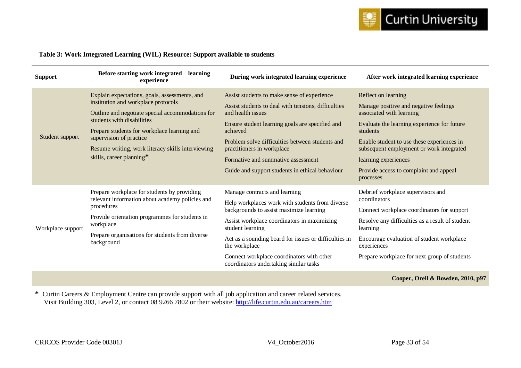

#### **Table 3: Work Integrated Learning (WIL) Resource: Support available to students**

| <b>Support</b>    | Before starting work integrated<br>learning<br>experience                                                                                                                                                                                                                        | During work integrated learning experience                                          | After work integrated learning experience                                              |
|-------------------|----------------------------------------------------------------------------------------------------------------------------------------------------------------------------------------------------------------------------------------------------------------------------------|-------------------------------------------------------------------------------------|----------------------------------------------------------------------------------------|
|                   | Explain expectations, goals, assessments, and                                                                                                                                                                                                                                    | Assist students to make sense of experience                                         | Reflect on learning                                                                    |
|                   | institution and workplace protocols<br>Outline and negotiate special accommodations for<br>students with disabilities<br>Prepare students for workplace learning and<br>supervision of practice<br>Resume writing, work literacy skills interviewing<br>skills, career planning* | Assist students to deal with tensions, difficulties<br>and health issues            | Manage positive and negative feelings<br>associated with learning                      |
|                   |                                                                                                                                                                                                                                                                                  | Ensure student learning goals are specified and<br>achieved                         | Evaluate the learning experience for future<br>students                                |
| Student support   |                                                                                                                                                                                                                                                                                  | Problem solve difficulties between students and<br>practitioners in workplace       | Enable student to use these experiences in<br>subsequent employment or work integrated |
|                   |                                                                                                                                                                                                                                                                                  | Formative and summative assessment                                                  | learning experiences                                                                   |
|                   |                                                                                                                                                                                                                                                                                  | Guide and support students in ethical behaviour                                     | Provide access to complaint and appeal<br>processes                                    |
|                   | Prepare workplace for students by providing                                                                                                                                                                                                                                      | Manage contracts and learning                                                       | Debrief workplace supervisors and                                                      |
|                   | relevant information about academy policies and<br>procedures                                                                                                                                                                                                                    | Help workplaces work with students from diverse                                     | coordinators                                                                           |
|                   | Provide orientation programmes for students in                                                                                                                                                                                                                                   | backgrounds to assist maximize learning                                             | Connect workplace coordinators for support                                             |
| Workplace support | workplace<br>Prepare organisations for students from diverse<br>background                                                                                                                                                                                                       | Assist workplace coordinators in maximizing<br>student learning                     | Resolve any difficulties as a result of student<br>learning                            |
|                   |                                                                                                                                                                                                                                                                                  | Act as a sounding board for issues or difficulties in<br>the workplace              | Encourage evaluation of student workplace<br>experiences                               |
|                   |                                                                                                                                                                                                                                                                                  | Connect workplace coordinators with other<br>coordinators undertaking similar tasks | Prepare workplace for next group of students                                           |
|                   |                                                                                                                                                                                                                                                                                  |                                                                                     | Cooper, Orell & Bowden, 2010, p97                                                      |

**\*** Curtin Careers & Employment Centre can provide support with all job application and career related services. Visit Building 303, Level 2, or contact 08 9266 7802 or their website: <http://life.curtin.edu.au/careers.htm>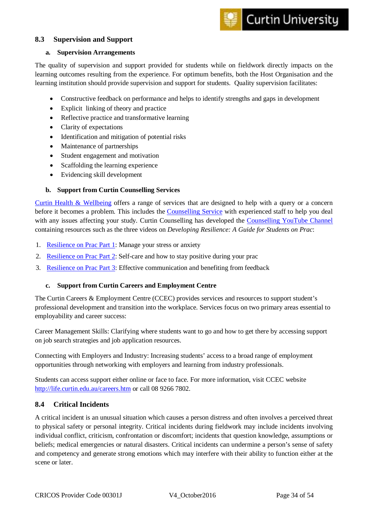#### <span id="page-34-0"></span>**8.3 Supervision and Support**

#### <span id="page-34-1"></span>**a. Supervision Arrangements**

The quality of supervision and support provided for students while on fieldwork directly impacts on the learning outcomes resulting from the experience. For optimum benefits, both the Host Organisation and the learning institution should provide supervision and support for students. Quality supervision facilitates:

- Constructive feedback on performance and helps to identify strengths and gaps in development
- Explicit linking of theory and practice
- Reflective practice and transformative learning
- Clarity of expectations
- Identification and mitigation of potential risks
- Maintenance of partnerships
- Student engagement and motivation
- Scaffolding the learning experience
- Evidencing skill development

#### <span id="page-34-2"></span>**b. Support from Curtin Counselling Services**

[Curtin Health & Wellbeing](http://life.curtin.edu.au/health-and-wellbeing.htm) offers a range of services that are designed to help with a query or a concern before it becomes a problem. This includes the [Counselling Service](http://life.curtin.edu.au/health-and-wellbeing/counselling_services.htm) with experienced staff to help you deal with any issues affecting your study. Curtin Counselling has developed the [Counselling YouTube Channel](https://www.youtube.com/channel/UCb7pL-djWVDIMZyu_ZKjKYg) containing resources such as the three videos on *Developing Resilience: A Guide for Students on Prac*:

- 1. [Resilience on Prac Part 1:](https://www.youtube.com/watch?v=QkkQl-_6lGc) Manage your stress or anxiety
- 2. [Resilience on Prac Part 2:](https://www.youtube.com/watch?v=xYwvxK-ZKDQ) Self-care and how to stay positive during your prac
- 3. [Resilience on Prac Part 3:](https://www.youtube.com/watch?v=9OsZEQ5mFU0) Effective communication and benefiting from feedback

#### <span id="page-34-3"></span>**c. Support from Curtin Careers and Employment Centre**

The Curtin Careers & Employment Centre (CCEC) provides services and resources to support student's professional development and transition into the workplace. Services focus on two primary areas essential to employability and career success:

Career Management Skills: Clarifying where students want to go and how to get there by accessing support on job search strategies and job application resources.

Connecting with Employers and Industry: Increasing students' access to a broad range of employment opportunities through networking with employers and learning from industry professionals.

Students can access support either online or face to face. For more information, visit CCEC website <http://life.curtin.edu.au/careers.htm> or call 08 9266 7802.

#### <span id="page-34-4"></span>**8.4 Critical Incidents**

A critical incident is an unusual situation which causes a person distress and often involves a perceived threat to physical safety or personal integrity. Critical incidents during fieldwork may include incidents involving individual conflict, criticism, confrontation or discomfort; incidents that question knowledge, assumptions or beliefs; medical emergencies or natural disasters. Critical incidents can undermine a person's sense of safety and competency and generate strong emotions which may interfere with their ability to function either at the scene or later.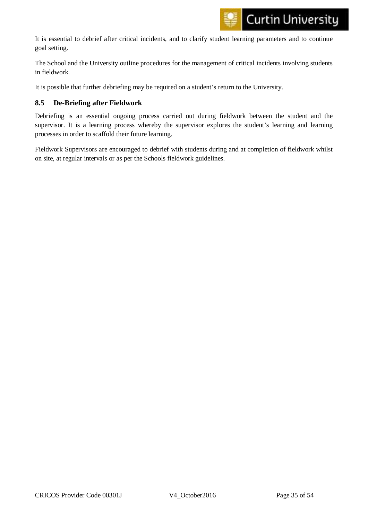It is essential to debrief after critical incidents, and to clarify student learning parameters and to continue goal setting.

The School and the University outline procedures for the management of critical incidents involving students in fieldwork.

It is possible that further debriefing may be required on a student's return to the University.

#### <span id="page-35-0"></span>**8.5 De-Briefing after Fieldwork**

Debriefing is an essential ongoing process carried out during fieldwork between the student and the supervisor. It is a learning process whereby the supervisor explores the student's learning and learning processes in order to scaffold their future learning.

Fieldwork Supervisors are encouraged to debrief with students during and at completion of fieldwork whilst on site, at regular intervals or as per the Schools fieldwork guidelines.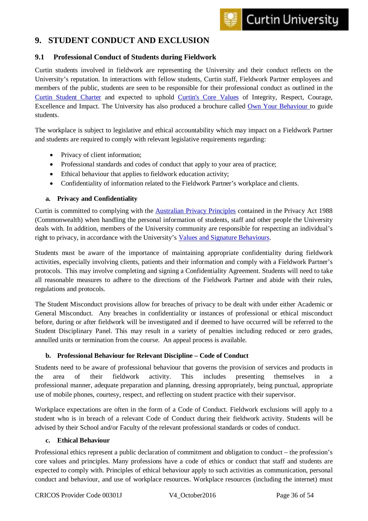## <span id="page-36-0"></span>**9. STUDENT CONDUCT AND EXCLUSION**

#### <span id="page-36-1"></span>**9.1 Professional Conduct of Students during Fieldwork**

Curtin students involved in fieldwork are representing the University and their conduct reflects on the University's reputation. In interactions with fellow students, Curtin staff, Fieldwork Partner employees and members of the public, students are seen to be responsible for their professional conduct as outlined in the [Curtin Student Charter](http://students.curtin.edu.au/rights/student_charter.cfm) and expected to uphold [Curtin's Core Values](http://www.curtin.edu.au/strengthening-our-culture/values/index.cfm) of Integrity, Respect, Courage, Excellence and Impact. The University has also produced a brochure called [Own Your Behaviour](http://students.curtin.edu.au/rights/documents/own_your_behaviour.pdf) to guide students.

The workplace is subject to legislative and ethical accountability which may impact on a Fieldwork Partner and students are required to comply with relevant legislative requirements regarding:

- Privacy of client information;
- Professional standards and codes of conduct that apply to your area of practice;
- Ethical behaviour that applies to fieldwork education activity;
- Confidentiality of information related to the Fieldwork Partner's workplace and clients.

#### <span id="page-36-2"></span>**a. Privacy and Confidentiality**

Curtin is committed to complying with the [Australian Privacy Principles](http://www.oaic.gov.au/privacy/privacy-act/australian-privacy-principles) contained in the Privacy Act 1988 (Commonwealth) when handling the personal information of students, staff and other people the University deals with. In addition, members of the University community are responsible for respecting an individual's right to privacy, in accordance with the University's [Values and Signature Behaviours.](https://www.curtin.edu.au/strengthening-our-culture/local/docs/Our_Values_and_Signature_Behaviours.pdf)

Students must be aware of the importance of maintaining appropriate confidentiality during fieldwork activities, especially involving clients, patients and their information and comply with a Fieldwork Partner's protocols. This may involve completing and signing a Confidentiality Agreement. Students will need to take all reasonable measures to adhere to the directions of the Fieldwork Partner and abide with their rules, regulations and protocols.

The Student Misconduct provisions allow for breaches of privacy to be dealt with under either Academic or General Misconduct. Any breaches in confidentiality or instances of professional or ethical misconduct before, during or after fieldwork will be investigated and if deemed to have occurred will be referred to the Student Disciplinary Panel. This may result in a variety of penalties including reduced or zero grades, annulled units or termination from the course. An appeal process is available.

#### <span id="page-36-3"></span>**b. Professional Behaviour for Relevant Discipline – Code of Conduct**

Students need to be aware of professional behaviour that governs the provision of services and products in the area of their fieldwork activity. This includes presenting themselves in a professional manner, adequate preparation and planning, dressing appropriately, being punctual, appropriate use of mobile phones, courtesy, respect, and reflecting on student practice with their supervisor.

Workplace expectations are often in the form of a Code of Conduct. Fieldwork exclusions will apply to a student who is in breach of a relevant Code of Conduct during their fieldwork activity. Students will be advised by their School and/or Faculty of the relevant professional standards or codes of conduct.

#### <span id="page-36-4"></span>**c. Ethical Behaviour**

Professional ethics represent a public declaration of commitment and obligation to conduct – the profession's core values and principles. Many professions have a code of ethics or conduct that staff and students are expected to comply with. Principles of ethical behaviour apply to such activities as communication, personal conduct and behaviour, and use of workplace resources. Workplace resources (including the internet) must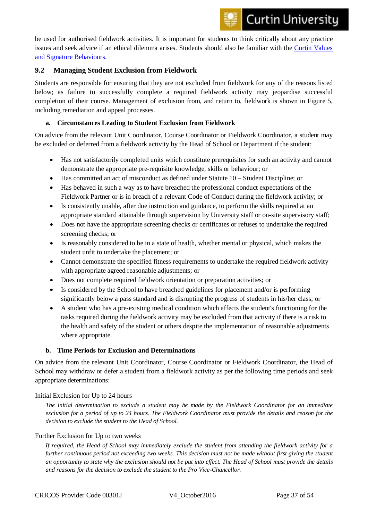be used for authorised fieldwork activities. It is important for students to think critically about any practice issues and seek advice if an ethical dilemma arises. Students should also be familiar with the [Curtin Values](https://www.curtin.edu.au/strengthening-our-culture/local/docs/Our_Values_and_Signature_Behaviours.pdf)  [and Signature Behaviours.](https://www.curtin.edu.au/strengthening-our-culture/local/docs/Our_Values_and_Signature_Behaviours.pdf)

#### <span id="page-37-0"></span>**9.2 Managing Student Exclusion from Fieldwork**

Students are responsible for ensuring that they are not excluded from fieldwork for any of the reasons listed below; as failure to successfully complete a required fieldwork activity may jeopardise successful completion of their course. Management of exclusion from, and return to, fieldwork is shown in Figure 5, including remediation and appeal processes.

#### <span id="page-37-1"></span>**a. Circumstances Leading to Student Exclusion from Fieldwork**

On advice from the relevant Unit Coordinator, Course Coordinator or Fieldwork Coordinator, a student may be excluded or deferred from a fieldwork activity by the Head of School or Department if the student:

- Has not satisfactorily completed units which constitute prerequisites for such an activity and cannot demonstrate the appropriate pre-requisite knowledge, skills or behaviour; or
- Has committed an act of misconduct as defined under [Statute 10](http://students.curtin.edu.au/rights/conduct.cfm#s10) Student Discipline; or
- Has behaved in such a way as to have breached the professional conduct expectations of the Fieldwork Partner or is in breach of a relevant Code of Conduct during the fieldwork activity; or
- Is consistently unable, after due instruction and guidance, to perform the skills required at an appropriate standard attainable through supervision by University staff or on-site supervisory staff;
- Does not have the appropriate screening checks or certificates or refuses to undertake the required screening checks; or
- Is reasonably considered to be in a state of health, whether mental or physical, which makes the student unfit to undertake the placement; or
- Cannot demonstrate the specified fitness requirements to undertake the required fieldwork activity with appropriate agreed reasonable adjustments; or
- Does not complete required fieldwork orientation or preparation activities; or
- Is considered by the School to have breached guidelines for placement and/or is performing significantly below a pass standard and is disrupting the progress of students in his/her class; or
- A student who has a pre-existing medical condition which affects the student's functioning for the tasks required during the fieldwork activity may be excluded from that activity if there is a risk to the health and safety of the student or others despite the implementation of reasonable adjustments where appropriate.

#### <span id="page-37-2"></span>**b. Time Periods for Exclusion and Determinations**

On advice from the relevant Unit Coordinator, Course Coordinator or Fieldwork Coordinator, the Head of School may withdraw or defer a student from a fieldwork activity as per the following time periods and seek appropriate determinations:

#### Initial Exclusion for Up to 24 hours

*The initial determination to exclude a student may be made by the Fieldwork Coordinator for an immediate exclusion for a period of up to 24 hours. The Fieldwork Coordinator must provide the details and reason for the decision to exclude the student to the Head of School.*

#### Further Exclusion for Up to two weeks

*If required, the Head of School may immediately exclude the student from attending the fieldwork activity for a further continuous period not exceeding two weeks. This decision must not be made without first giving the student an opportunity to state why the exclusion should not be put into effect. The Head of School must provide the details and reasons for the decision to exclude the student to the Pro Vice-Chancellor.*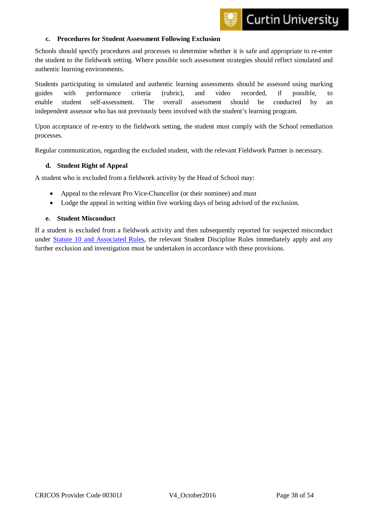

#### <span id="page-38-0"></span>**c. Procedures for Student Assessment Following Exclusion**

Schools should specify procedures and processes to determine whether it is safe and appropriate to re-enter the student to the fieldwork setting. Where possible such assessment strategies should reflect simulated and authentic learning environments.

Students participating in simulated and authentic learning assessments should be assessed using marking guides with performance criteria (rubric), and video recorded, if possible, to enable student self-assessment. The overall assessment should be conducted by an independent assessor who has not previously been involved with the student's learning program.

Upon acceptance of re-entry to the fieldwork setting, the student must comply with the School remediation processes.

Regular communication, regarding the excluded student, with the relevant Fieldwork Partner is necessary.

#### <span id="page-38-1"></span>**d. Student Right of Appeal**

A student who is excluded from a fieldwork activity by the Head of School may:

- Appeal to the relevant Pro Vice-Chancellor (or their nominee) and must
- Lodge the appeal in writing within five working days of being advised of the exclusion.

#### <span id="page-38-2"></span>**e. Student Misconduct**

If a student is excluded from a fieldwork activity and then subsequently reported for suspected misconduct under [Statute 10 and Associated Rules,](http://students.curtin.edu.au/rights/conduct.cfm) the relevant Student Discipline Rules immediately apply and any further exclusion and investigation must be undertaken in accordance with these provisions.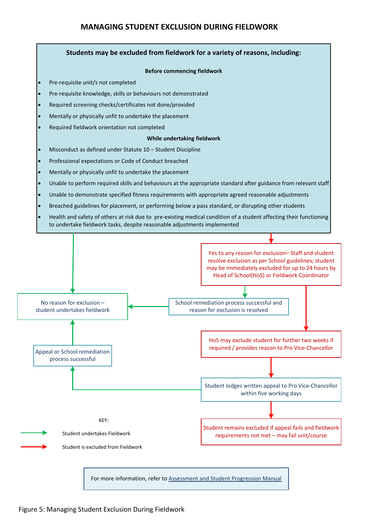### **MANAGING STUDENT EXCLUSION DURING FIELDWORK**

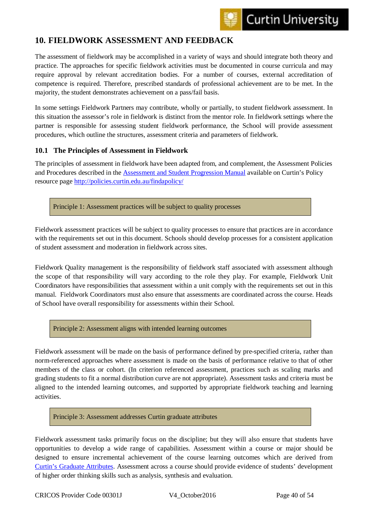## <span id="page-40-0"></span>**10. FIELDWORK ASSESSMENT AND FEEDBACK**

The assessment of fieldwork may be accomplished in a variety of ways and should integrate both theory and practice. The approaches for specific fieldwork activities must be documented in course curricula and may require approval by relevant accreditation bodies. For a number of courses, external accreditation of competence is required. Therefore, prescribed standards of professional achievement are to be met. In the majority, the student demonstrates achievement on a pass/fail basis.

In some settings Fieldwork Partners may contribute, wholly or partially, to student fieldwork assessment. In this situation the assessor's role in fieldwork is distinct from the mentor role. In fieldwork settings where the partner is responsible for assessing student fieldwork performance, the School will provide assessment procedures, which outline the structures, assessment criteria and parameters of fieldwork.

#### <span id="page-40-1"></span>**10.1 The Principles of Assessment in Fieldwork**

The principles of assessment in fieldwork have been adapted from, and complement, the Assessment Policies and Procedures described in the [Assessment and Student Progression Manual](http://policies.curtin.edu.au/findapolicy/docs/Assessment_and_Student_Progression_Manual.pdf) available on Curtin's Policy resource page<http://policies.curtin.edu.au/findapolicy/>

Principle 1: Assessment practices will be subject to quality processes

Fieldwork assessment practices will be subject to quality processes to ensure that practices are in accordance with the requirements set out in this document. Schools should develop processes for a consistent application of student assessment and moderation in fieldwork across sites.

Fieldwork Quality management is the responsibility of fieldwork staff associated with assessment although the scope of that responsibility will vary according to the role they play. For example, Fieldwork Unit Coordinators have responsibilities that assessment within a unit comply with the requirements set out in this manual. Fieldwork Coordinators must also ensure that assessments are coordinated across the course. Heads of School have overall responsibility for assessments within their School.

Principle 2: Assessment aligns with intended learning outcomes

Fieldwork assessment will be made on the basis of performance defined by pre-specified criteria, rather than norm-referenced approaches where assessment is made on the basis of performance relative to that of other members of the class or cohort. (In criterion referenced assessment, practices such as scaling marks and grading students to fit a normal distribution curve are not appropriate). Assessment tasks and criteria must be aligned to the intended learning outcomes, and supported by appropriate fieldwork teaching and learning activities.

Principle 3: Assessment addresses Curtin graduate attributes

Fieldwork assessment tasks primarily focus on the discipline; but they will also ensure that students have opportunities to develop a wide range of capabilities. Assessment within a course or major should be designed to ensure incremental achievement of the course learning outcomes which are derived from Curtin's [Graduate Attributes.](http://ctl.curtin.edu.au/teaching_learning_practice/graduate_capabilities.cfm) Assessment across a course should provide evidence of students' development of higher order thinking skills such as analysis, synthesis and evaluation.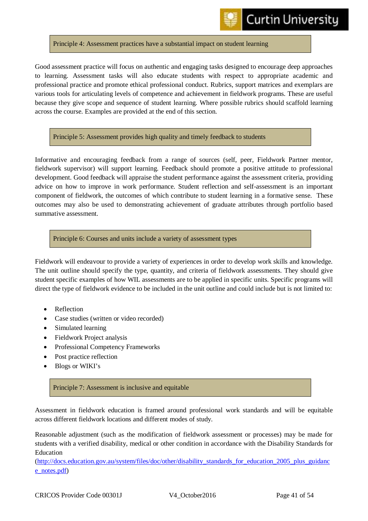#### Principle 4: Assessment practices have a substantial impact on student learning

Good assessment practice will focus on authentic and engaging tasks designed to encourage deep approaches to learning. Assessment tasks will also educate students with respect to appropriate academic and professional practice and promote ethical professional conduct. Rubrics, support matrices and exemplars are various tools for articulating levels of competence and achievement in fieldwork programs. These are useful because they give scope and sequence of student learning. Where possible rubrics should scaffold learning across the course. Examples are provided at the end of this section.

#### Principle 5: Assessment provides high quality and timely feedback to students

Informative and encouraging feedback from a range of sources (self, peer, Fieldwork Partner mentor, fieldwork supervisor) will support learning. Feedback should promote a positive attitude to professional development. Good feedback will appraise the student performance against the assessment criteria, providing advice on how to improve in work performance. Student reflection and self-assessment is an important component of fieldwork, the outcomes of which contribute to student learning in a formative sense. These outcomes may also be used to demonstrating achievement of graduate attributes through portfolio based summative assessment.

#### Principle 6: Courses and units include a variety of assessment types

Fieldwork will endeavour to provide a variety of experiences in order to develop work skills and knowledge. The unit outline should specify the type, quantity, and criteria of fieldwork assessments. They should give student specific examples of how WIL assessments are to be applied in specific units. Specific programs will direct the type of fieldwork evidence to be included in the unit outline and could include but is not limited to:

- Reflection
- Case studies (written or video recorded)
- Simulated learning
- Fieldwork Project analysis
- Professional Competency Frameworks
- Post practice reflection
- Blogs or WIKI's

#### Principle 7: Assessment is inclusive and equitable

Assessment in fieldwork education is framed around professional work standards and will be equitable across different fieldwork locations and different modes of study.

Reasonable adjustment (such as the modification of fieldwork assessment or processes) may be made for students with a verified disability, medical or other condition in accordance with the Disability Standards for Education

(http://docs.education.gov.au/system/files/doc/other/disability\_standards for education 2005 plus guidanc [e\\_notes.pdf\)](http://docs.education.gov.au/system/files/doc/other/disability_standards_for_education_2005_plus_guidance_notes.pdf)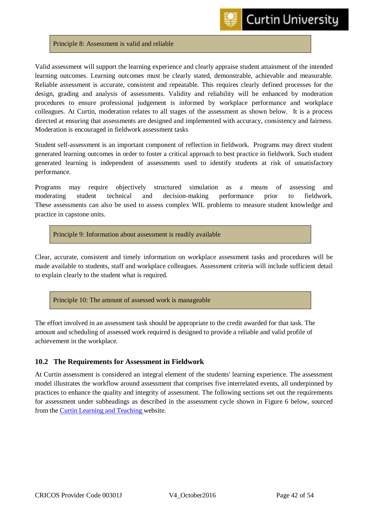#### Principle 8: Assessment is valid and reliable

Valid assessment will support the learning experience and clearly appraise student attainment of the intended learning outcomes. Learning outcomes must be clearly stated, demonstrable, achievable and measurable. Reliable assessment is accurate, consistent and repeatable. This requires clearly defined processes for the design, grading and analysis of assessments. Validity and reliability will be enhanced by moderation procedures to ensure professional judgement is informed by workplace performance and workplace colleagues. At Curtin, moderation relates to all stages of the assessment as shown below. It is a process directed at ensuring that assessments are designed and implemented with accuracy, consistency and fairness. Moderation is encouraged in fieldwork assessment tasks

Student self-assessment is an important component of reflection in fieldwork. Programs may direct student generated learning outcomes in order to foster a critical approach to best practice in fieldwork. Such student generated learning is independent of assessments used to identify students at risk of unsatisfactory performance.

Programs may require objectively structured simulation as a means of assessing and moderating student technical and decision-making performance prior to fieldwork. These assessments can also be used to assess complex WIL problems to measure student knowledge and practice in capstone units.

Principle 9: Information about assessment is readily available

Clear, accurate, consistent and timely information on workplace assessment tasks and procedures will be made available to students, staff and workplace colleagues. Assessment criteria will include sufficient detail to explain clearly to the student what is required.

Principle 10: The amount of assessed work is manageable

The effort involved in an assessment task should be appropriate to the credit awarded for that task. The amount and scheduling of assessed work required is designed to provide a reliable and valid profile of achievement in the workplace.

#### <span id="page-42-0"></span>**10.2 The Requirements for Assessment in Fieldwork**

At Curtin assessment is considered an integral element of the students' learning experience. The assessment model illustrates the workflow around assessment that comprises five interrelated events, all underpinned by practices to enhance the quality and integrity of assessment. The following sections set out the requirements for assessment under subheadings as described in the assessment cycle shown in Figure 6 below, sourced from the [Curtin Learning and Teaching](http://ctl.curtin.edu.au/teaching_learning_practice/assessment/) website.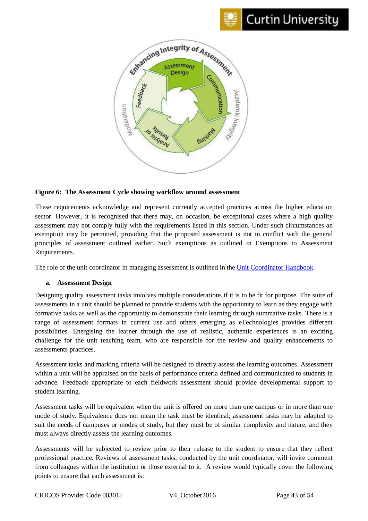



#### **Figure 6: The Assessment Cycle showing workflow around assessment**

These requirements acknowledge and represent currently accepted practices across the higher education sector. However, it is recognised that there may, on occasion, be exceptional cases where a high quality assessment may not comply fully with the requirements listed in this section. Under such circumstances an exemption may be permitted, providing that the proposed assessment is not in conflict with the general principles of assessment outlined earlier. Such exemptions as outlined in Exemptions to Assessment Requirements.

The role of the unit coordinator in managing assessment is outlined in the [Unit Coordinator Handbook.](http://ctl.curtin.edu.au/local/downloads/professional_development/TheUnitCoordinatorHandbookJuly2013.pdf)

#### <span id="page-43-0"></span>**a. Assessment Design**

Designing quality assessment tasks involves multiple considerations if it is to be fit for purpose. The suite of assessments in a unit should be planned to provide students with the opportunity to learn as they engage with formative tasks as well as the opportunity to demonstrate their learning through summative tasks. There is a range of assessment formats in current use and others emerging as eTechnologies provides different possibilities. Energising the learner through the use of realistic, authentic experiences is an exciting challenge for the unit teaching team, who are responsible for the review and quality enhancements to assessments practices.

Assessment tasks and marking criteria will be designed to directly assess the learning outcomes. Assessment within a unit will be appraised on the basis of performance criteria defined and communicated to students in advance. Feedback appropriate to each fieldwork assessment should provide developmental support to student learning.

Assessment tasks will be equivalent when the unit is offered on more than one campus or in more than one mode of study. Equivalence does not mean the task must be identical; assessment tasks may be adapted to suit the needs of campuses or modes of study, but they must be of similar complexity and nature, and they must always directly assess the learning outcomes.

Assessments will be subjected to review prior to their release to the student to ensure that they reflect professional practice. Reviews of assessment tasks, conducted by the unit coordinator, will invite comment from colleagues within the institution or those external to it. A review would typically cover the following points to ensure that each assessment is: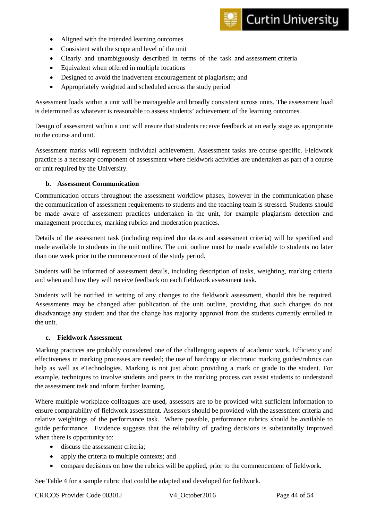

- Aligned with the intended learning outcomes
- Consistent with the scope and level of the unit
- Clearly and unambiguously described in terms of the task and assessment criteria
- Equivalent when offered in multiple locations
- Designed to avoid the inadvertent encouragement of plagiarism; and
- Appropriately weighted and scheduled across the study period

Assessment loads within a unit will be manageable and broadly consistent across units. The assessment load is determined as whatever is reasonable to assess students' achievement of the learning outcomes.

Design of assessment within a unit will ensure that students receive feedback at an early stage as appropriate to the course and unit.

Assessment marks will represent individual achievement. Assessment tasks are course specific. Fieldwork practice is a necessary component of assessment where fieldwork activities are undertaken as part of a course or unit required by the University.

#### <span id="page-44-0"></span>**b. Assessment Communication**

Communication occurs throughout the assessment workflow phases, however in the communication phase the communication of assessment requirements to students and the teaching team is stressed. Students should be made aware of assessment practices undertaken in the unit, for example plagiarism detection and management procedures, marking rubrics and moderation practices.

Details of the assessment task (including required due dates and assessment criteria) will be specified and made available to students in the unit outline. The unit outline must be made available to students no later than one week prior to the commencement of the study period.

Students will be informed of assessment details, including description of tasks, weighting, marking criteria and when and how they will receive feedback on each fieldwork assessment task.

Students will be notified in writing of any changes to the fieldwork assessment, should this be required. Assessments may be changed after publication of the unit outline, providing that such changes do not disadvantage any student and that the change has majority approval from the students currently enrolled in the unit.

#### <span id="page-44-1"></span>**c. Fieldwork Assessment**

Marking practices are probably considered one of the challenging aspects of academic work. Efficiency and effectiveness in marking processes are needed; the use of hardcopy or electronic marking guides/rubrics can help as well as eTechnologies. Marking is not just about providing a mark or grade to the student. For example, techniques to involve students and peers in the marking process can assist students to understand the assessment task and inform further learning.

Where multiple workplace colleagues are used, assessors are to be provided with sufficient information to ensure comparability of fieldwork assessment. Assessors should be provided with the assessment criteria and relative weightings of the performance task. Where possible, performance rubrics should be available to guide performance. Evidence suggests that the reliability of grading decisions is substantially improved when there is opportunity to:

- discuss the assessment criteria:
- apply the criteria to multiple contexts; and
- compare decisions on how the rubrics will be applied, prior to the commencement of fieldwork.

See Table 4 for a sample rubric that could be adapted and developed for fieldwork.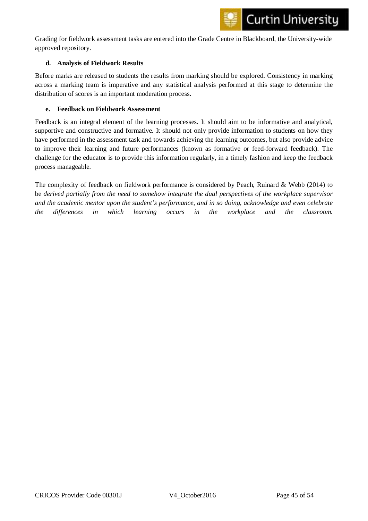

Grading for fieldwork assessment tasks are entered into the Grade Centre in Blackboard, the University-wide approved repository.

#### <span id="page-45-0"></span>**d. Analysis of Fieldwork Results**

Before marks are released to students the results from marking should be explored. Consistency in marking across a marking team is imperative and any statistical analysis performed at this stage to determine the distribution of scores is an important moderation process.

#### <span id="page-45-1"></span>**e. Feedback on Fieldwork Assessment**

Feedback is an integral element of the learning processes. It should aim to be informative and analytical, supportive and constructive and formative. It should not only provide information to students on how they have performed in the assessment task and towards achieving the learning outcomes, but also provide advice to improve their learning and future performances (known as formative or feed-forward feedback). The challenge for the educator is to provide this information regularly, in a timely fashion and keep the feedback process manageable.

The complexity of feedback on fieldwork performance is considered by Peach, Ruinard & Webb (2014) to be *derived partially from the need to somehow integrate the dual perspectives of the workplace supervisor and the academic mentor upon the student's performance, and in so doing, acknowledge and even celebrate the differences in which learning occurs in the workplace and the classroom.*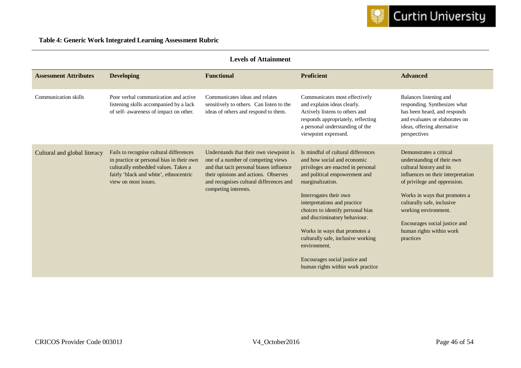

| <b>Levels of Attainment</b>  |                                                                                                                                                                                               |                                                                                                                                                                                                                                      |                                                                                                                                                                                                                                                                                                                                                                                                                                                           |                                                                                                                                                                                                                                                                                                                          |
|------------------------------|-----------------------------------------------------------------------------------------------------------------------------------------------------------------------------------------------|--------------------------------------------------------------------------------------------------------------------------------------------------------------------------------------------------------------------------------------|-----------------------------------------------------------------------------------------------------------------------------------------------------------------------------------------------------------------------------------------------------------------------------------------------------------------------------------------------------------------------------------------------------------------------------------------------------------|--------------------------------------------------------------------------------------------------------------------------------------------------------------------------------------------------------------------------------------------------------------------------------------------------------------------------|
| <b>Assessment Attributes</b> | <b>Developing</b>                                                                                                                                                                             | <b>Functional</b>                                                                                                                                                                                                                    | <b>Proficient</b>                                                                                                                                                                                                                                                                                                                                                                                                                                         | <b>Advanced</b>                                                                                                                                                                                                                                                                                                          |
| <b>Communication skills</b>  | Poor verbal communication and active<br>listening skills accompanied by a lack<br>of self- awareness of impact on other.                                                                      | Communicates ideas and relates<br>sensitively to others. Can listen to the<br>ideas of others and respond to them.                                                                                                                   | Communicates most effectively<br>and explains ideas clearly.<br>Actively listens to others and<br>responds appropriately, reflecting<br>a personal understanding of the<br>viewpoint expressed.                                                                                                                                                                                                                                                           | Balances listening and<br>responding. Synthesizes what<br>has been heard, and responds<br>and evaluates or elaborates on<br>ideas, offering alternative<br>perspectives                                                                                                                                                  |
| Cultural and global literacy | Fails to recognise cultural differences<br>in practice or personal bias in their own<br>culturally embedded values. Takes a<br>fairly 'black and white', ethnocentric<br>view on most issues. | Understands that their own viewpoint is<br>one of a number of competing views<br>and that tacit personal biases influence<br>their opinions and actions. Observes<br>and recognises cultural differences and<br>competing interests. | Is mindful of cultural differences<br>and how social and economic<br>privileges are enacted in personal<br>and political empowerment and<br>marginalization.<br>Interrogates their own<br>interpretations and practice<br>choices to identify personal bias<br>and discriminatory behaviour.<br>Works in ways that promotes a<br>culturally safe, inclusive working<br>environment.<br>Encourages social justice and<br>human rights within work practice | Demonstrates a critical<br>understanding of their own<br>cultural history and its<br>influences on their interpretation<br>of privilege and oppression.<br>Works in ways that promotes a<br>culturally safe, inclusive<br>working environment.<br>Encourages social justice and<br>human rights within work<br>practices |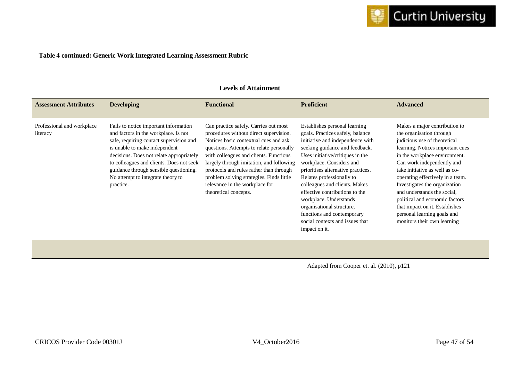#### **Table 4 continued: Generic Work Integrated Learning Assessment Rubric**

|                                        | <b>Levels of Attainment</b>                                                                                                                                                                                                                                                                                                                   |                                                                                                                                                                                                                                                                                                                                                                                                              |                                                                                                                                                                                                                                                                                                                                                                                                                                                                                        |                                                                                                                                                                                                                                                                                                                                                                                                                                                                      |  |
|----------------------------------------|-----------------------------------------------------------------------------------------------------------------------------------------------------------------------------------------------------------------------------------------------------------------------------------------------------------------------------------------------|--------------------------------------------------------------------------------------------------------------------------------------------------------------------------------------------------------------------------------------------------------------------------------------------------------------------------------------------------------------------------------------------------------------|----------------------------------------------------------------------------------------------------------------------------------------------------------------------------------------------------------------------------------------------------------------------------------------------------------------------------------------------------------------------------------------------------------------------------------------------------------------------------------------|----------------------------------------------------------------------------------------------------------------------------------------------------------------------------------------------------------------------------------------------------------------------------------------------------------------------------------------------------------------------------------------------------------------------------------------------------------------------|--|
| <b>Assessment Attributes</b>           | <b>Developing</b>                                                                                                                                                                                                                                                                                                                             | <b>Functional</b>                                                                                                                                                                                                                                                                                                                                                                                            | <b>Proficient</b>                                                                                                                                                                                                                                                                                                                                                                                                                                                                      | <b>Advanced</b>                                                                                                                                                                                                                                                                                                                                                                                                                                                      |  |
| Professional and workplace<br>literacy | Fails to notice important information<br>and factors in the workplace. Is not<br>safe, requiring contact supervision and<br>is unable to make independent<br>decisions. Does not relate appropriately<br>to colleagues and clients. Does not seek<br>guidance through sensible questioning.<br>No attempt to integrate theory to<br>practice. | Can practice safely. Carries out most<br>procedures without direct supervision.<br>Notices basic contextual cues and ask<br>questions. Attempts to relate personally<br>with colleagues and clients. Functions<br>largely through imitation, and following<br>protocols and rules rather than through<br>problem solving strategies. Finds little<br>relevance in the workplace for<br>theoretical concepts. | Establishes personal learning<br>goals. Practices safely, balance<br>initiative and independence with<br>seeking guidance and feedback.<br>Uses initiative/critiques in the<br>workplace. Considers and<br>prioritises alternative practices.<br>Relates professionally to<br>colleagues and clients. Makes<br>effective contributions to the<br>workplace. Understands<br>organisational structure,<br>functions and contemporary<br>social contexts and issues that<br>impact on it. | Makes a major contribution to<br>the organisation through<br>judicious use of theoretical<br>learning. Notices important cues<br>in the workplace environment.<br>Can work independently and<br>take initiative as well as co-<br>operating effectively in a team.<br>Investigates the organization<br>and understands the social,<br>political and economic factors<br>that impact on it. Establishes<br>personal learning goals and<br>monitors their own learning |  |

Adapted from Cooper et. al. (2010), p121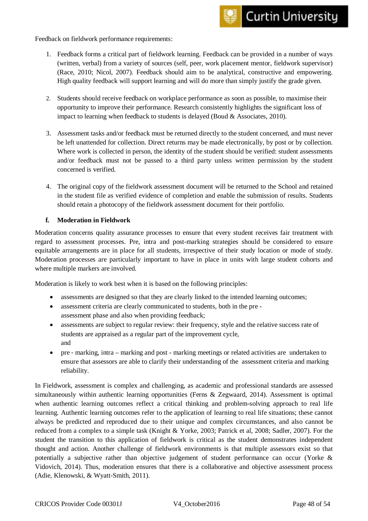Feedback on fieldwork performance requirements:

- 1. Feedback forms a critical part of fieldwork learning. Feedback can be provided in a number of ways (written, verbal) from a variety of sources (self, peer, work placement mentor, fieldwork supervisor) (Race, 2010; Nicol, 2007). Feedback should aim to be analytical, constructive and empowering. High quality feedback will support learning and will do more than simply justify the grade given.
- 2. Students should receive feedback on workplace performance as soon as possible, to maximise their opportunity to improve their performance. Research consistently highlights the significant loss of impact to learning when feedback to students is delayed (Boud & Associates, 2010).
- 3. Assessment tasks and/or feedback must be returned directly to the student concerned, and must never be left unattended for collection. Direct returns may be made electronically, by post or by collection. Where work is collected in person, the identity of the student should be verified: student assessments and/or feedback must not be passed to a third party unless written permission by the student concerned is verified.
- 4. The original copy of the fieldwork assessment document will be returned to the School and retained in the student file as verified evidence of completion and enable the submission of results. Students should retain a photocopy of the fieldwork assessment document for their portfolio.

#### <span id="page-48-0"></span>**f. Moderation in Fieldwork**

Moderation concerns quality assurance processes to ensure that every student receives fair treatment with regard to assessment processes. Pre, intra and post-marking strategies should be considered to ensure equitable arrangements are in place for all students, irrespective of their study location or mode of study. Moderation processes are particularly important to have in place in units with large student cohorts and where multiple markers are involved.

Moderation is likely to work best when it is based on the following principles:

- assessments are designed so that they are clearly linked to the intended learning outcomes;
- assessment criteria are clearly communicated to students, both in the pre assessment phase and also when providing feedback;
- assessments are subject to regular review: their frequency, style and the relative success rate of students are appraised as a regular part of the improvement cycle, and
- pre ‐ marking, intra marking and post marking meetings or related activities are undertaken to ensure that assessors are able to clarify their understanding of the assessment criteria and marking reliability.

In Fieldwork, assessment is complex and challenging, as academic and professional standards are assessed simultaneously within authentic learning opportunities (Ferns & Zegwaard, 2014). Assessment is optimal when authentic learning outcomes reflect a critical thinking and problem-solving approach to real life learning. Authentic learning outcomes refer to the application of learning to real life situations; these cannot always be predicted and reproduced due to their unique and complex circumstances, and also cannot be reduced from a complex to a simple task (Knight & Yorke, 2003; Patrick et al, 2008; Sadler, 2007). For the student the transition to this application of fieldwork is critical as the student demonstrates independent thought and action. Another challenge of fieldwork environments is that multiple assessors exist so that potentially a subjective rather than objective judgement of student performance can occur (Yorke & Vidovich, 2014). Thus, moderation ensures that there is a collaborative and objective assessment process (Adie, Klenowski, & Wyatt-Smith, 2011).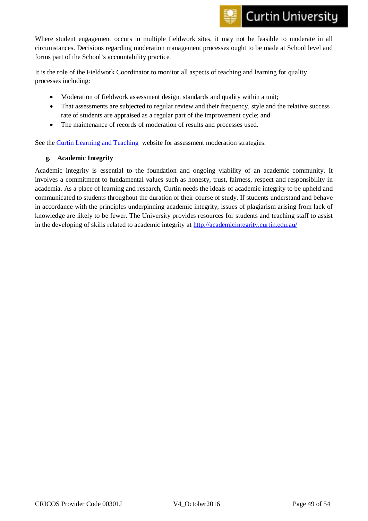Where student engagement occurs in multiple fieldwork sites, it may not be feasible to moderate in all circumstances. Decisions regarding moderation management processes ought to be made at School level and forms part of the School's accountability practice.

It is the role of the Fieldwork Coordinator to monitor all aspects of teaching and learning for quality processes including:

- Moderation of fieldwork assessment design, standards and quality within a unit;
- That assessments are subjected to regular review and their frequency, style and the relative success rate of students are appraised as a regular part of the improvement cycle; and
- The maintenance of records of moderation of results and processes used.

See the [Curtin Learning and Teaching](http://ctl.curtin.edu.au/teaching_learning_practice/assessment/moderation.cfm) website for assessment moderation strategies.

#### <span id="page-49-0"></span>**g. Academic Integrity**

Academic integrity is essential to the foundation and ongoing viability of an academic community. It involves a commitment to fundamental values such as honesty, trust, fairness, respect and responsibility in academia. As a place of learning and research, Curtin needs the ideals of academic integrity to be upheld and communicated to students throughout the duration of their course of study. If students understand and behave in accordance with the principles underpinning academic integrity, issues of plagiarism arising from lack of knowledge are likely to be fewer. The University provides resources for students and teaching staff to assist in the developing of skills related to academic integrity a[t http://academicintegrity.curtin.edu.au/](http://academicintegrity.curtin.edu.au/)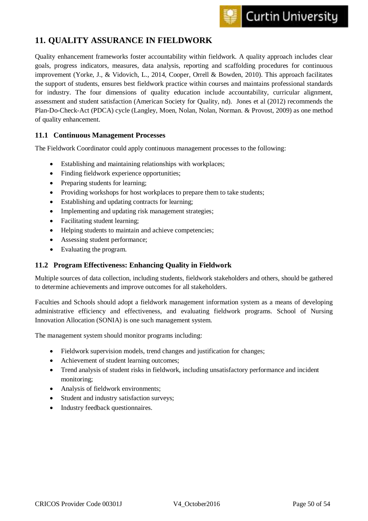## <span id="page-50-0"></span>**11. QUALITY ASSURANCE IN FIELDWORK**

Quality enhancement frameworks foster accountability within fieldwork. A quality approach includes clear goals, progress indicators, measures, data analysis, reporting and scaffolding procedures for continuous improvement (Yorke, J., & Vidovich, L., 2014, Cooper, Orrell & Bowden, 2010). This approach facilitates the support of students, ensures best fieldwork practice within courses and maintains professional standards for industry. The four dimensions of quality education include accountability, curricular alignment, assessment and student satisfaction (American Society for Quality, nd). Jones et al (2012) recommends the Plan-Do-Check-Act (PDCA) cycle (Langley, Moen, Nolan, Nolan, Norman. & Provost, 2009) as one method of quality enhancement.

#### <span id="page-50-1"></span>**11.1 Continuous Management Processes**

The Fieldwork Coordinator could apply continuous management processes to the following:

- Establishing and maintaining relationships with workplaces;
- Finding fieldwork experience opportunities;
- Preparing students for learning;
- Providing workshops for host workplaces to prepare them to take students;
- Establishing and updating contracts for learning;
- Implementing and updating risk management strategies;
- Facilitating student learning;
- Helping students to maintain and achieve competencies;
- Assessing student performance;
- Evaluating the program.

#### <span id="page-50-2"></span>**11.2 Program Effectiveness: Enhancing Quality in Fieldwork**

Multiple sources of data collection, including students, fieldwork stakeholders and others, should be gathered to determine achievements and improve outcomes for all stakeholders.

Faculties and Schools should adopt a fieldwork management information system as a means of developing administrative efficiency and effectiveness, and evaluating fieldwork programs. School of Nursing Innovation Allocation (SONIA) is one such management system.

The management system should monitor programs including:

- Fieldwork supervision models, trend changes and justification for changes;
- Achievement of student learning outcomes;
- Trend analysis of student risks in fieldwork, including unsatisfactory performance and incident monitoring;
- Analysis of fieldwork environments;
- Student and industry satisfaction surveys;
- Industry feedback questionnaires.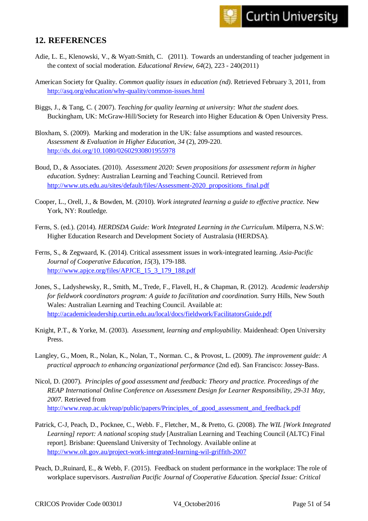### <span id="page-51-0"></span>**12. REFERENCES**

- Adie, L. E., Klenowski, V., & Wyatt-Smith, C. (2011). Towards an understanding of teacher judgement in the context of social moderation. *Educational Review, 64*(2), 223 - 240(2011)
- American Society for Quality. *Common quality issues in education (nd)*. Retrieved February 3, 2011, from <http://asq.org/education/why-quality/common-issues.html>
- Biggs, J., & Tang, C. ( 2007). *Teaching for quality learning at university: What the student does.* Buckingham, UK: McGraw-Hill/Society for Research into Higher Education & Open University Press.
- Bloxham, S. (2009). Marking and moderation in the UK: false assumptions and wasted resources. *Assessment & Evaluation in Higher Education, 34* (2), 209-220. <http://dx.doi.org/10.1080/02602930801955978>
- Boud, D., & Associates. (2010). *Assessment 2020: Seven propositions for assessment reform in higher education.* Sydney: Australian Learning and Teaching Council. Retrieved from [http://www.uts.edu.au/sites/default/files/Assessment-2020\\_propositions\\_final.pdf](http://www.uts.edu.au/sites/default/files/Assessment-2020_propositions_final.pdf)
- Cooper, L., Orell, J., & Bowden, M. (2010). *Work integrated learning a guide to effective practice.* New York, NY: Routledge.
- Ferns, S. (ed.). (2014). *HERDSDA Guide: Work Integrated Learning in the Curriculum*. Milperra, N.S.W: Higher Education Research and Development Society of Australasia (HERDSA).
- Ferns, S., & Zegwaard, K. (2014). Critical assessment issues in work-integrated learning. *Asia-Pacific Journal of Cooperative Education, 15*(3), 179-188. [http://www.apjce.org/files/APJCE\\_15\\_3\\_179\\_188.pdf](http://www.apjce.org/files/APJCE_15_3_179_188.pdf)
- Jones, S., Ladyshewsky, R., Smith, M., Trede, F., Flavell, H., & Chapman, R. (2012). *Academic leadership for fieldwork coordinators program: A guide to facilitation and coordination*. Surry Hills, New South Wales: Australian Learning and Teaching Council. Available at: <http://academicleadership.curtin.edu.au/local/docs/fieldwork/FacilitatorsGuide.pdf>
- Knight, P.T., & Yorke, M. (2003). *Assessment, learning and employability*. Maidenhead: Open University Press.
- Langley, G., Moen, R., Nolan, K., Nolan, T., Norman. C., & Provost, L. (2009). *The improvement guide: A practical approach to enhancing organizational performance* (2nd ed). San Francisco: Jossey-Bass.
- Nicol, D. (2007). *Principles of good assessment and feedback: Theory and practice. Proceedings of the REAP International Online Conference on Assessment Design for Learner Responsibility, 29-31 May, 2007.* Retrieved from http://www.reap.ac.uk/reap/public/papers/Principles of good assessment and feedback.pdf
- Patrick, C-J, Peach, D., Pocknee, C., Webb. F., Fletcher, M., & Pretto, G. (2008). *The WIL [Work Integrated Learning] report: A national scoping study* [Australian Learning and Teaching Council (ALTC) Final report]. Brisbane: Queensland University of Technology. Available online at <http://www.olt.gov.au/project-work-integrated-learning-wil-griffith-2007>
- Peach, D.,Ruinard, E., & Webb, F. (2015). Feedback on student performance in the workplace: The role of workplace supervisors. *Australian Pacific Journal of Cooperative Education. Special Issue: Critical*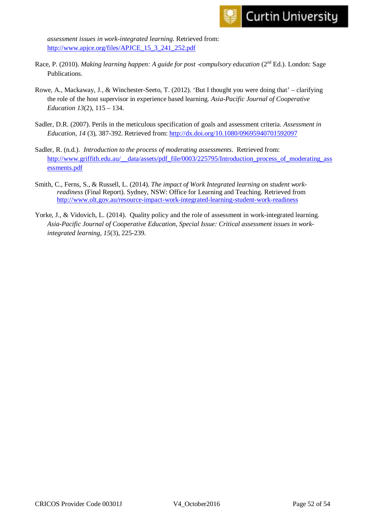*assessment issues in work-integrated learning.* Retrieved from: [http://www.apjce.org/files/APJCE\\_15\\_3\\_241\\_252.pdf](http://www.apjce.org/files/APJCE_15_3_241_252.pdf)

- Race, P. (2010). *Making learning happen: A guide for post -compulsory education* (2<sup>nd</sup> Ed.). London: Sage Publications.
- Rowe, A., Mackaway, J., & Winchester-Seeto, T. (2012). 'But I thought you were doing that' clarifying the role of the host supervisor in experience based learning. *Asia-Pacific Journal of Cooperative Education 13*(2), 115 – 134.
- Sadler, D.R. (2007). Perils in the meticulous specification of goals and assessment criteria. *Assessment in Education, 14* (3), 387-392. Retrieved from:<http://dx.doi.org/10.1080/09695940701592097>
- Sadler, R. (n.d.). *Introduction to the process of moderating assessments*. Retrieved from: [http://www.griffith.edu.au/\\_\\_data/assets/pdf\\_file/0003/225795/Introduction\\_process\\_of\\_moderating\\_ass](http://www.griffith.edu.au/__data/assets/pdf_file/0003/225795/Introduction_process_of_moderating_assessments.pdf)\_ [essments.pdf](http://www.griffith.edu.au/__data/assets/pdf_file/0003/225795/Introduction_process_of_moderating_assessments.pdf)
- Smith, C., Ferns, S., & Russell, L. (2014). *The impact of Work Integrated learning on student workreadiness* (Final Report). Sydney, NSW: Office for Learning and Teaching. Retrieved from <http://www.olt.gov.au/resource-impact-work-integrated-learning-student-work-readiness>
- Yorke, J., & Vidovich, L. (2014). Quality policy and the role of assessment in work-integrated learning. *Asia-Pacific Journal of Cooperative Education, Special Issue: Critical assessment issues in workintegrated learning, 15*(3), 225-239.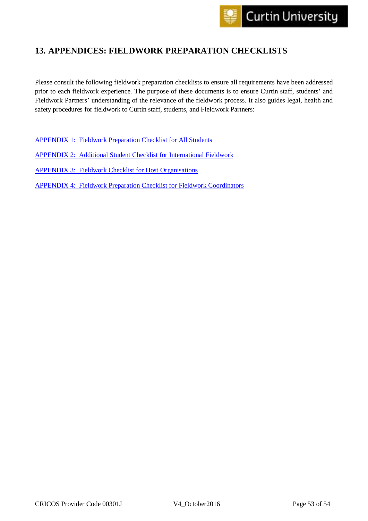## <span id="page-53-0"></span>**13. APPENDICES: FIELDWORK PREPARATION CHECKLISTS**

Please consult the following fieldwork preparation checklists to ensure all requirements have been addressed prior to each fieldwork experience. The purpose of these documents is to ensure Curtin staff, students' and Fieldwork Partners' understanding of the relevance of the fieldwork process. It also guides legal, health and safety procedures for fieldwork to Curtin staff, students, and Fieldwork Partners:

[APPENDIX 1: Fieldwork Preparation Checklist for All Students](#page-54-0) [APPENDIX 2: Additional Student Checklist for International Fieldwork](#page-55-0) [APPENDIX 3: Fieldwork Checklist for Host Organisations](#page-55-1)

[APPENDIX 4: Fieldwork Preparation Checklist for Fieldwork Coordinators](#page-57-0)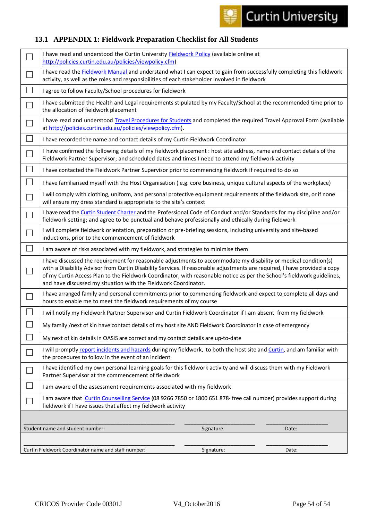

## <span id="page-54-0"></span>**13.1 APPENDIX 1: Fieldwork Preparation Checklist for All Students**

|        | I have read and understood the Curtin University Fieldwork Policy (available online at<br>http://policies.curtin.edu.au/policies/viewpolicy.cfm)                                                                                                                                                                                                                                                                                            |  |  |
|--------|---------------------------------------------------------------------------------------------------------------------------------------------------------------------------------------------------------------------------------------------------------------------------------------------------------------------------------------------------------------------------------------------------------------------------------------------|--|--|
|        | I have read the Fieldwork Manual and understand what I can expect to gain from successfully completing this fieldwork<br>activity, as well as the roles and responsibilities of each stakeholder involved in fieldwork                                                                                                                                                                                                                      |  |  |
|        | I agree to follow Faculty/School procedures for fieldwork                                                                                                                                                                                                                                                                                                                                                                                   |  |  |
|        | I have submitted the Health and Legal requirements stipulated by my Faculty/School at the recommended time prior to<br>the allocation of fieldwork placement                                                                                                                                                                                                                                                                                |  |  |
| П      | I have read and understood Travel Procedures for Students and completed the required Travel Approval Form (available<br>at http://policies.curtin.edu.au/policies/viewpolicy.cfm).                                                                                                                                                                                                                                                          |  |  |
| $\Box$ | I have recorded the name and contact details of my Curtin Fieldwork Coordinator                                                                                                                                                                                                                                                                                                                                                             |  |  |
| $\Box$ | I have confirmed the following details of my fieldwork placement : host site address, name and contact details of the<br>Fieldwork Partner Supervisor; and scheduled dates and times I need to attend my fieldwork activity                                                                                                                                                                                                                 |  |  |
| $\Box$ | I have contacted the Fieldwork Partner Supervisor prior to commencing fieldwork if required to do so                                                                                                                                                                                                                                                                                                                                        |  |  |
| $\Box$ | I have familiarised myself with the Host Organisation (e.g. core business, unique cultural aspects of the workplace)                                                                                                                                                                                                                                                                                                                        |  |  |
| $\Box$ | I will comply with clothing, uniform, and personal protective equipment requirements of the fieldwork site, or if none<br>will ensure my dress standard is appropriate to the site's context                                                                                                                                                                                                                                                |  |  |
|        | I have read the Curtin Student Charter and the Professional Code of Conduct and/or Standards for my discipline and/or<br>fieldwork setting; and agree to be punctual and behave professionally and ethically during fieldwork                                                                                                                                                                                                               |  |  |
|        | I will complete fieldwork orientation, preparation or pre-briefing sessions, including university and site-based<br>inductions, prior to the commencement of fieldwork                                                                                                                                                                                                                                                                      |  |  |
| $\Box$ | I am aware of risks associated with my fieldwork, and strategies to minimise them                                                                                                                                                                                                                                                                                                                                                           |  |  |
|        | I have discussed the requirement for reasonable adjustments to accommodate my disability or medical condition(s)<br>with a Disability Advisor from Curtin Disability Services. If reasonable adjustments are required, I have provided a copy<br>of my Curtin Access Plan to the Fieldwork Coordinator, with reasonable notice as per the School's fieldwork guidelines,<br>and have discussed my situation with the Fieldwork Coordinator. |  |  |
|        | I have arranged family and personal commitments prior to commencing fieldwork and expect to complete all days and<br>hours to enable me to meet the fieldwork requirements of my course                                                                                                                                                                                                                                                     |  |  |
|        | I will notify my Fieldwork Partner Supervisor and Curtin Fieldwork Coordinator if I am absent from my fieldwork                                                                                                                                                                                                                                                                                                                             |  |  |
|        | My family /next of kin have contact details of my host site AND Fieldwork Coordinator in case of emergency                                                                                                                                                                                                                                                                                                                                  |  |  |
|        | My next of kin details in OASIS are correct and my contact details are up-to-date                                                                                                                                                                                                                                                                                                                                                           |  |  |
|        | I will promptly report incidents and hazards during my fieldwork, to both the host site and Curtin, and am familiar with<br>the procedures to follow in the event of an incident                                                                                                                                                                                                                                                            |  |  |
|        | I have identified my own personal learning goals for this fieldwork activity and will discuss them with my Fieldwork<br>Partner Supervisor at the commencement of fieldwork                                                                                                                                                                                                                                                                 |  |  |
|        | I am aware of the assessment requirements associated with my fieldwork                                                                                                                                                                                                                                                                                                                                                                      |  |  |
|        | I am aware that Curtin Counselling Service (08 9266 7850 or 1800 651 878- free call number) provides support during<br>fieldwork if I have issues that affect my fieldwork activity                                                                                                                                                                                                                                                         |  |  |
|        |                                                                                                                                                                                                                                                                                                                                                                                                                                             |  |  |
|        | Student name and student number:<br>Date:<br>Signature:                                                                                                                                                                                                                                                                                                                                                                                     |  |  |
|        |                                                                                                                                                                                                                                                                                                                                                                                                                                             |  |  |
|        | Curtin Fieldwork Coordinator name and staff number:<br>Signature:<br>Date:                                                                                                                                                                                                                                                                                                                                                                  |  |  |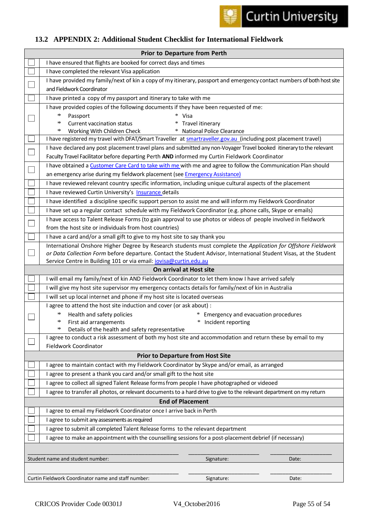

## <span id="page-55-0"></span>**13.2 APPENDIX 2: Additional Student Checklist for International Fieldwork**

<span id="page-55-1"></span>

| <b>Prior to Departure from Perth</b> |                                                                                                                        |  |  |
|--------------------------------------|------------------------------------------------------------------------------------------------------------------------|--|--|
|                                      | I have ensured that flights are booked for correct days and times                                                      |  |  |
|                                      | I have completed the relevant Visa application                                                                         |  |  |
|                                      | I have provided my family/next of kin a copy of my itinerary, passport and emergency contact numbers of both host site |  |  |
|                                      | and Fieldwork Coordinator                                                                                              |  |  |
|                                      | I have printed a copy of my passport and itinerary to take with me                                                     |  |  |
|                                      | I have provided copies of the following documents if they have been requested of me:                                   |  |  |
|                                      | $\ast$<br>Passport<br>$\ast$<br>Visa                                                                                   |  |  |
|                                      | ∗<br>Current vaccination status<br>Travel itinerary<br>∗                                                               |  |  |
|                                      | <b>National Police Clearance</b><br>$\ast$<br>Working With Children Check<br>$\ast$                                    |  |  |
|                                      | I have registered my travel with DFAT/Smart Traveller at <b>smartraveller.gov.au</b> (including post placement travel) |  |  |
|                                      | I have declared any post placement travel plans and submitted any non-Voyager Travel booked itinerary to the relevant  |  |  |
|                                      | Faculty Travel Facilitator before departing Perth AND informed my Curtin Fieldwork Coordinator                         |  |  |
|                                      | I have obtained a Customer Care Card to take with me with me and agree to follow the Communication Plan should         |  |  |
|                                      | an emergency arise during my fieldwork placement (see Emergency Assistance)                                            |  |  |
|                                      | I have reviewed relevant country specific information, including unique cultural aspects of the placement              |  |  |
|                                      | I have reviewed Curtin University's Insurance details                                                                  |  |  |
|                                      | I have identified a discipline specific support person to assist me and will inform my Fieldwork Coordinator           |  |  |
|                                      | I have set up a regular contact schedule with my Fieldwork Coordinator (e.g. phone calls, Skype or emails)             |  |  |
|                                      | I have access to Talent Release Forms (to gain approval to use photos or videos of people involved in fieldwork        |  |  |
|                                      | from the host site or individuals from host countries)                                                                 |  |  |
|                                      | I have a card and/or a small gift to give to my host site to say thank you                                             |  |  |
|                                      | International Onshore Higher Degree by Research students must complete the Application for Offshore Fieldwork          |  |  |
|                                      | or Data Collection Form before departure. Contact the Student Advisor, International Student Visas, at the Student     |  |  |
|                                      | Service Centre in Building 101 or via email: <i>iovisa@curtin.edu.au</i><br>On arrival at Host site                    |  |  |
|                                      | I will email my family/next of kin AND Fieldwork Coordinator to let them know I have arrived safely                    |  |  |
|                                      | I will give my host site supervisor my emergency contacts details for family/next of kin in Australia                  |  |  |
|                                      | I will set up local internet and phone if my host site is located overseas                                             |  |  |
|                                      | I agree to attend the host site induction and cover (or ask about) :                                                   |  |  |
|                                      | $\ast$<br>Health and safety policies<br>* Emergency and evacuation procedures                                          |  |  |
|                                      | * Incident reporting<br>$\ast$<br>First aid arrangements                                                               |  |  |
|                                      | ∗<br>Details of the health and safety representative                                                                   |  |  |
|                                      | I agree to conduct a risk assessment of both my host site and accommodation and return these by email to my            |  |  |
|                                      | Fieldwork Coordinator                                                                                                  |  |  |
|                                      | <b>Prior to Departure from Host Site</b>                                                                               |  |  |
|                                      | I agree to maintain contact with my Fieldwork Coordinator by Skype and/or email, as arranged                           |  |  |
|                                      | agree to present a thank you card and/or small gift to the host site                                                   |  |  |
|                                      | agree to collect all signed Talent Release forms from people I have photographed or videoed                            |  |  |
|                                      | I agree to transfer all photos, or relevant documents to a hard drive to give to the relevant department on my return  |  |  |
|                                      | <b>End of Placement</b>                                                                                                |  |  |
|                                      | I agree to email my Fieldwork Coordinator once I arrive back in Perth                                                  |  |  |
|                                      | I agree to submit any assessments as required                                                                          |  |  |
|                                      | I agree to submit all completed Talent Release forms to the relevant department                                        |  |  |
|                                      | I agree to make an appointment with the counselling sessions for a post-placement debrief (if necessary)               |  |  |
|                                      |                                                                                                                        |  |  |
|                                      |                                                                                                                        |  |  |
|                                      | Student name and student number:<br>Signature:<br>Date:                                                                |  |  |
|                                      |                                                                                                                        |  |  |
|                                      | Curtin Fieldwork Coordinator name and staff number:<br>Signature:<br>Date:                                             |  |  |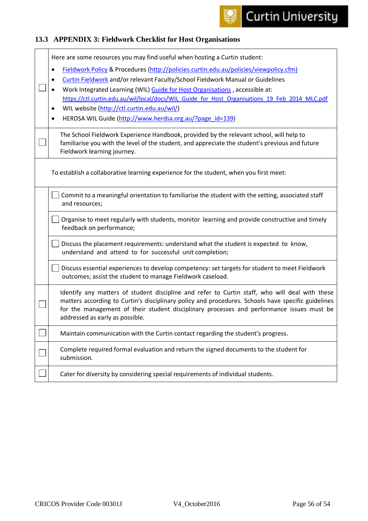### <span id="page-56-0"></span>**13.3 APPENDIX 3: Fieldwork Checklist for Host Organisations**

| Here are some resources you may find useful when hosting a Curtin student:                         |
|----------------------------------------------------------------------------------------------------|
| Fieldwork Policy & Procedures (http://policies.curtin.edu.au/policies/viewpolicy.cfm)<br>$\bullet$ |
| Curtin Fieldwork and/or relevant Faculty/School Fieldwork Manual or Guidelines                     |
| Work Integrated Learning (WIL) Guide for Host Organisations, accessible at:                        |
| https://ctl.curtin.edu.au/wil/local/docs/WIL Guide for Host Organisations 19 Feb 2014 MLC.pdf      |
| WIL website (http://ctl.curtin.edu.au/wil/)<br>$\bullet$                                           |
| HERDSA WIL Guide (http://www.herdsa.org.au/?page_id=139)<br>$\bullet$                              |
|                                                                                                    |
| The School Fieldwork Experience Handbook, provided by the relevant school, will help to            |
| familiarise you with the level of the student, and appreciate the student's previous and future    |
| Fieldwork learning journey.                                                                        |
|                                                                                                    |
| To establish a collaborative learning experience for the student, when you first meet:             |
|                                                                                                    |
| Commit to a meaningful orientation to familiarise the student with the setting, associated staff   |
| and resources;                                                                                     |
|                                                                                                    |
| Organise to meet regularly with students, monitor learning and provide constructive and timely     |
| feedback on performance;                                                                           |
| Discuss the placement requirements: understand what the student is expected to know,               |
| understand and attend to for successful unit completion;                                           |
|                                                                                                    |
| Discuss essential experiences to develop competency: set targets for student to meet Fieldwork     |
| outcomes; assist the student to manage Fieldwork caseload.                                         |
| Identify any matters of student discipline and refer to Curtin staff, who will deal with these     |
| matters according to Curtin's disciplinary policy and procedures. Schools have specific guidelines |
| for the management of their student disciplinary processes and performance issues must be          |
| addressed as early as possible.                                                                    |
|                                                                                                    |
| Maintain communication with the Curtin contact regarding the student's progress.                   |
| Complete required formal evaluation and return the signed documents to the student for             |
| submission.                                                                                        |
|                                                                                                    |
| Cater for diversity by considering special requirements of individual students.                    |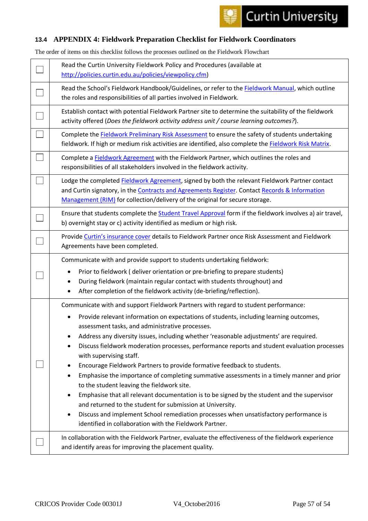#### <span id="page-57-0"></span>**13.4 APPENDIX 4: Fieldwork Preparation Checklist for Fieldwork Coordinators**

The order of items on this checklist follows the processes outlined on the Fieldwork Flowchart

| Read the Curtin University Fieldwork Policy and Procedures (available at<br>http://policies.curtin.edu.au/policies/viewpolicy.cfm)                                                                                                                                                                                                                                                                                                                                                                                                                                                                                                                                                                                                                                                                                                                                                                                                                                                                                         |
|----------------------------------------------------------------------------------------------------------------------------------------------------------------------------------------------------------------------------------------------------------------------------------------------------------------------------------------------------------------------------------------------------------------------------------------------------------------------------------------------------------------------------------------------------------------------------------------------------------------------------------------------------------------------------------------------------------------------------------------------------------------------------------------------------------------------------------------------------------------------------------------------------------------------------------------------------------------------------------------------------------------------------|
| Read the School's Fieldwork Handbook/Guidelines, or refer to the Fieldwork Manual, which outline<br>the roles and responsibilities of all parties involved in Fieldwork.                                                                                                                                                                                                                                                                                                                                                                                                                                                                                                                                                                                                                                                                                                                                                                                                                                                   |
| Establish contact with potential Fieldwork Partner site to determine the suitability of the fieldwork<br>activity offered (Does the fieldwork activity address unit / course learning outcomes?).                                                                                                                                                                                                                                                                                                                                                                                                                                                                                                                                                                                                                                                                                                                                                                                                                          |
| Complete the Fieldwork Preliminary Risk Assessment to ensure the safety of students undertaking<br>fieldwork. If high or medium risk activities are identified, also complete the Fieldwork Risk Matrix.                                                                                                                                                                                                                                                                                                                                                                                                                                                                                                                                                                                                                                                                                                                                                                                                                   |
| Complete a Fieldwork Agreement with the Fieldwork Partner, which outlines the roles and<br>responsibilities of all stakeholders involved in the fieldwork activity.                                                                                                                                                                                                                                                                                                                                                                                                                                                                                                                                                                                                                                                                                                                                                                                                                                                        |
| Lodge the completed Fieldwork Agreement, signed by both the relevant Fieldwork Partner contact<br>and Curtin signatory, in the Contracts and Agreements Register. Contact Records & Information<br>Management (RIM) for collection/delivery of the original for secure storage.                                                                                                                                                                                                                                                                                                                                                                                                                                                                                                                                                                                                                                                                                                                                            |
| Ensure that students complete the <b>Student Travel Approval</b> form if the fieldwork involves a) air travel,<br>b) overnight stay or c) activity identified as medium or high risk.                                                                                                                                                                                                                                                                                                                                                                                                                                                                                                                                                                                                                                                                                                                                                                                                                                      |
| Provide Curtin's insurance cover details to Fieldwork Partner once Risk Assessment and Fieldwork<br>Agreements have been completed.                                                                                                                                                                                                                                                                                                                                                                                                                                                                                                                                                                                                                                                                                                                                                                                                                                                                                        |
|                                                                                                                                                                                                                                                                                                                                                                                                                                                                                                                                                                                                                                                                                                                                                                                                                                                                                                                                                                                                                            |
| Communicate with and provide support to students undertaking fieldwork:<br>Prior to fieldwork (deliver orientation or pre-briefing to prepare students)<br>During fieldwork (maintain regular contact with students throughout) and<br>After completion of the fieldwork activity (de-briefing/reflection).                                                                                                                                                                                                                                                                                                                                                                                                                                                                                                                                                                                                                                                                                                                |
| Communicate with and support Fieldwork Partners with regard to student performance:<br>Provide relevant information on expectations of students, including learning outcomes,<br>assessment tasks, and administrative processes.<br>Address any diversity issues, including whether 'reasonable adjustments' are required.<br>Discuss fieldwork moderation processes, performance reports and student evaluation processes<br>with supervising staff.<br>Encourage Fieldwork Partners to provide formative feedback to students.<br>Emphasise the importance of completing summative assessments in a timely manner and prior<br>٠<br>to the student leaving the fieldwork site.<br>Emphasise that all relevant documentation is to be signed by the student and the supervisor<br>$\bullet$<br>and returned to the student for submission at University.<br>Discuss and implement School remediation processes when unsatisfactory performance is<br>$\bullet$<br>identified in collaboration with the Fieldwork Partner. |